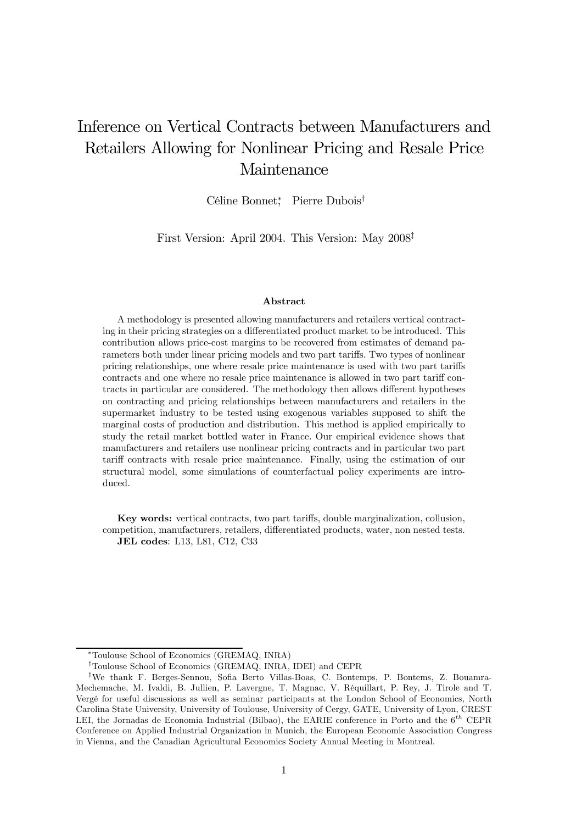# Inference on Vertical Contracts between Manufacturers and Retailers Allowing for Nonlinear Pricing and Resale Price Maintenance

Céline Bonnet<sup>∗</sup> , Pierre Dubois†

First Version: April 2004. This Version: May 2008‡

#### Abstract

A methodology is presented allowing manufacturers and retailers vertical contracting in their pricing strategies on a differentiated product market to be introduced. This contribution allows price-cost margins to be recovered from estimates of demand parameters both under linear pricing models and two part tariffs. Two types of nonlinear pricing relationships, one where resale price maintenance is used with two part tariffs contracts and one where no resale price maintenance is allowed in two part tariff contracts in particular are considered. The methodology then allows different hypotheses on contracting and pricing relationships between manufacturers and retailers in the supermarket industry to be tested using exogenous variables supposed to shift the marginal costs of production and distribution. This method is applied empirically to study the retail market bottled water in France. Our empirical evidence shows that manufacturers and retailers use nonlinear pricing contracts and in particular two part tariff contracts with resale price maintenance. Finally, using the estimation of our structural model, some simulations of counterfactual policy experiments are introduced.

Key words: vertical contracts, two part tariffs, double marginalization, collusion, competition, manufacturers, retailers, differentiated products, water, non nested tests. JEL codes: L13, L81, C12, C33

<sup>∗</sup>Toulouse School of Economics (GREMAQ, INRA)

<sup>†</sup>Toulouse School of Economics (GREMAQ, INRA, IDEI) and CEPR

<sup>‡</sup>We thank F. Berges-Sennou, Sofia Berto Villas-Boas, C. Bontemps, P. Bontems, Z. Bouamra-Mechemache, M. Ivaldi, B. Jullien, P. Lavergne, T. Magnac, V. Réquillart, P. Rey, J. Tirole and T. Vergé for useful discussions as well as seminar participants at the London School of Economics, North Carolina State University, University of Toulouse, University of Cergy, GATE, University of Lyon, CREST LEI, the Jornadas de Economia Industrial (Bilbao), the EARIE conference in Porto and the  $6^{th}$  CEPR Conference on Applied Industrial Organization in Munich, the European Economic Association Congress in Vienna, and the Canadian Agricultural Economics Society Annual Meeting in Montreal.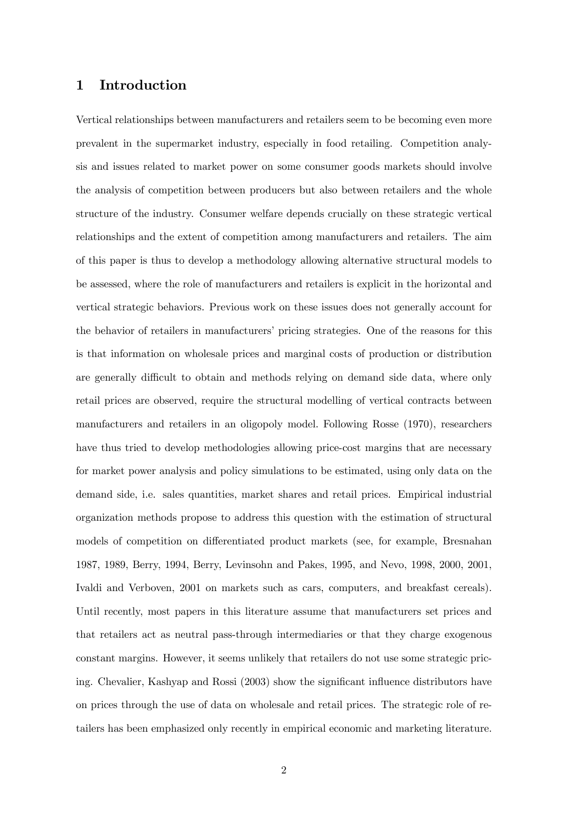### 1 Introduction

Vertical relationships between manufacturers and retailers seem to be becoming even more prevalent in the supermarket industry, especially in food retailing. Competition analysis and issues related to market power on some consumer goods markets should involve the analysis of competition between producers but also between retailers and the whole structure of the industry. Consumer welfare depends crucially on these strategic vertical relationships and the extent of competition among manufacturers and retailers. The aim of this paper is thus to develop a methodology allowing alternative structural models to be assessed, where the role of manufacturers and retailers is explicit in the horizontal and vertical strategic behaviors. Previous work on these issues does not generally account for the behavior of retailers in manufacturers' pricing strategies. One of the reasons for this is that information on wholesale prices and marginal costs of production or distribution are generally difficult to obtain and methods relying on demand side data, where only retail prices are observed, require the structural modelling of vertical contracts between manufacturers and retailers in an oligopoly model. Following Rosse (1970), researchers have thus tried to develop methodologies allowing price-cost margins that are necessary for market power analysis and policy simulations to be estimated, using only data on the demand side, i.e. sales quantities, market shares and retail prices. Empirical industrial organization methods propose to address this question with the estimation of structural models of competition on differentiated product markets (see, for example, Bresnahan 1987, 1989, Berry, 1994, Berry, Levinsohn and Pakes, 1995, and Nevo, 1998, 2000, 2001, Ivaldi and Verboven, 2001 on markets such as cars, computers, and breakfast cereals). Until recently, most papers in this literature assume that manufacturers set prices and that retailers act as neutral pass-through intermediaries or that they charge exogenous constant margins. However, it seems unlikely that retailers do not use some strategic pricing. Chevalier, Kashyap and Rossi (2003) show the significant influence distributors have on prices through the use of data on wholesale and retail prices. The strategic role of retailers has been emphasized only recently in empirical economic and marketing literature.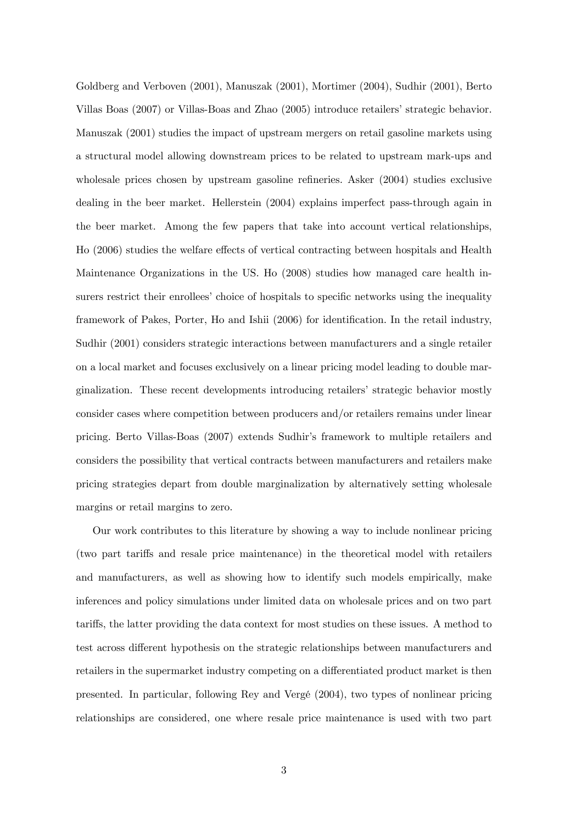Goldberg and Verboven (2001), Manuszak (2001), Mortimer (2004), Sudhir (2001), Berto Villas Boas (2007) or Villas-Boas and Zhao (2005) introduce retailers' strategic behavior. Manuszak (2001) studies the impact of upstream mergers on retail gasoline markets using a structural model allowing downstream prices to be related to upstream mark-ups and wholesale prices chosen by upstream gasoline refineries. Asker (2004) studies exclusive dealing in the beer market. Hellerstein (2004) explains imperfect pass-through again in the beer market. Among the few papers that take into account vertical relationships, Ho (2006) studies the welfare effects of vertical contracting between hospitals and Health Maintenance Organizations in the US. Ho (2008) studies how managed care health insurers restrict their enrollees' choice of hospitals to specific networks using the inequality framework of Pakes, Porter, Ho and Ishii (2006) for identification. In the retail industry, Sudhir (2001) considers strategic interactions between manufacturers and a single retailer on a local market and focuses exclusively on a linear pricing model leading to double marginalization. These recent developments introducing retailers' strategic behavior mostly consider cases where competition between producers and/or retailers remains under linear pricing. Berto Villas-Boas (2007) extends Sudhir's framework to multiple retailers and considers the possibility that vertical contracts between manufacturers and retailers make pricing strategies depart from double marginalization by alternatively setting wholesale margins or retail margins to zero.

Our work contributes to this literature by showing a way to include nonlinear pricing (two part tariffs and resale price maintenance) in the theoretical model with retailers and manufacturers, as well as showing how to identify such models empirically, make inferences and policy simulations under limited data on wholesale prices and on two part tariffs, the latter providing the data context for most studies on these issues. A method to test across different hypothesis on the strategic relationships between manufacturers and retailers in the supermarket industry competing on a differentiated product market is then presented. In particular, following Rey and Vergé (2004), two types of nonlinear pricing relationships are considered, one where resale price maintenance is used with two part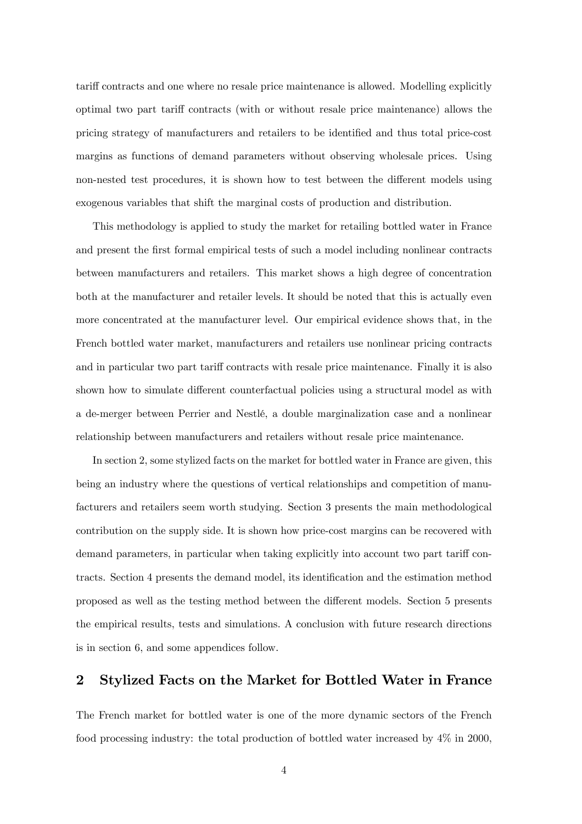tariff contracts and one where no resale price maintenance is allowed. Modelling explicitly optimal two part tariff contracts (with or without resale price maintenance) allows the pricing strategy of manufacturers and retailers to be identified and thus total price-cost margins as functions of demand parameters without observing wholesale prices. Using non-nested test procedures, it is shown how to test between the different models using exogenous variables that shift the marginal costs of production and distribution.

This methodology is applied to study the market for retailing bottled water in France and present the first formal empirical tests of such a model including nonlinear contracts between manufacturers and retailers. This market shows a high degree of concentration both at the manufacturer and retailer levels. It should be noted that this is actually even more concentrated at the manufacturer level. Our empirical evidence shows that, in the French bottled water market, manufacturers and retailers use nonlinear pricing contracts and in particular two part tariff contracts with resale price maintenance. Finally it is also shown how to simulate different counterfactual policies using a structural model as with a de-merger between Perrier and Nestlé, a double marginalization case and a nonlinear relationship between manufacturers and retailers without resale price maintenance.

In section 2, some stylized facts on the market for bottled water in France are given, this being an industry where the questions of vertical relationships and competition of manufacturers and retailers seem worth studying. Section 3 presents the main methodological contribution on the supply side. It is shown how price-cost margins can be recovered with demand parameters, in particular when taking explicitly into account two part tariff contracts. Section 4 presents the demand model, its identification and the estimation method proposed as well as the testing method between the different models. Section 5 presents the empirical results, tests and simulations. A conclusion with future research directions is in section 6, and some appendices follow.

### 2 Stylized Facts on the Market for Bottled Water in France

The French market for bottled water is one of the more dynamic sectors of the French food processing industry: the total production of bottled water increased by 4% in 2000,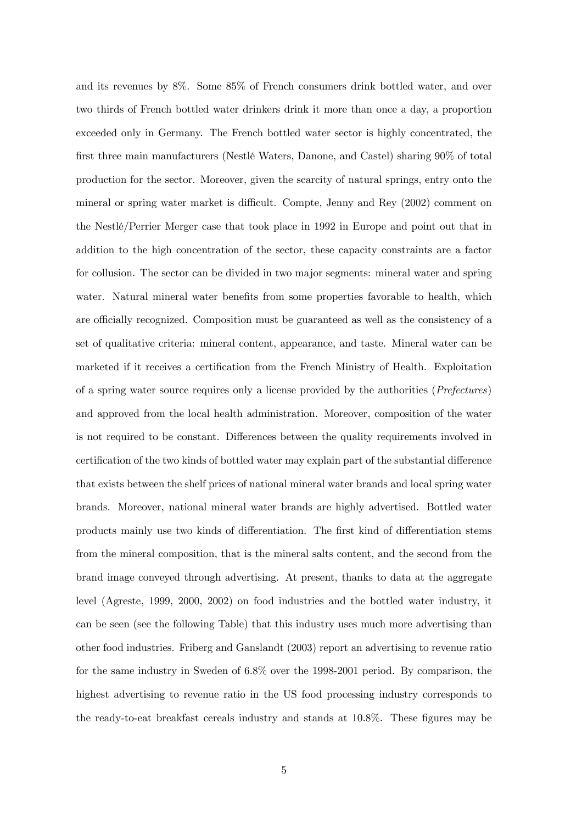and its revenues by 8%. Some 85% of French consumers drink bottled water, and over two thirds of French bottled water drinkers drink it more than once a day, a proportion exceeded only in Germany. The French bottled water sector is highly concentrated, the first three main manufacturers (Nestlé Waters, Danone, and Castel) sharing 90% of total production for the sector. Moreover, given the scarcity of natural springs, entry onto the mineral or spring water market is difficult. Compte, Jenny and Rey (2002) comment on the Nestlé/Perrier Merger case that took place in 1992 in Europe and point out that in addition to the high concentration of the sector, these capacity constraints are a factor for collusion. The sector can be divided in two major segments: mineral water and spring water. Natural mineral water benefits from some properties favorable to health, which are officially recognized. Composition must be guaranteed as well as the consistency of a set of qualitative criteria: mineral content, appearance, and taste. Mineral water can be marketed if it receives a certification from the French Ministry of Health. Exploitation of a spring water source requires only a license provided by the authorities (Prefectures) and approved from the local health administration. Moreover, composition of the water is not required to be constant. Differences between the quality requirements involved in certification of the two kinds of bottled water may explain part of the substantial difference that exists between the shelf prices of national mineral water brands and local spring water brands. Moreover, national mineral water brands are highly advertised. Bottled water products mainly use two kinds of differentiation. The first kind of differentiation stems from the mineral composition, that is the mineral salts content, and the second from the brand image conveyed through advertising. At present, thanks to data at the aggregate level (Agreste, 1999, 2000, 2002) on food industries and the bottled water industry, it can be seen (see the following Table) that this industry uses much more advertising than other food industries. Friberg and Ganslandt (2003) report an advertising to revenue ratio for the same industry in Sweden of 6.8% over the 1998-2001 period. By comparison, the highest advertising to revenue ratio in the US food processing industry corresponds to the ready-to-eat breakfast cereals industry and stands at 10.8%. These figures may be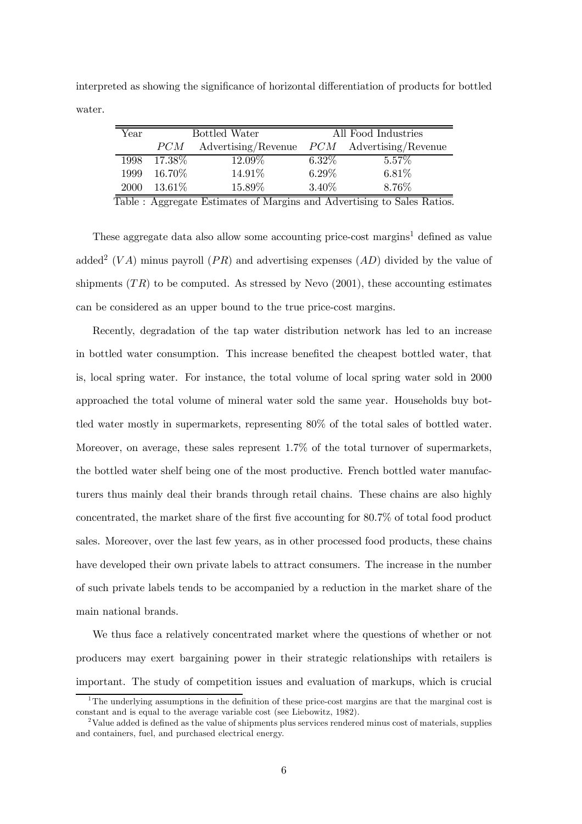interpreted as showing the significance of horizontal differentiation of products for bottled water.

| Year |           | Bottled Water       |          | All Food Industries       |
|------|-----------|---------------------|----------|---------------------------|
|      | PCM       | Advertising/Revenue |          | $PCM$ Advertising/Revenue |
| 1998 | $17.38\%$ | 12.09%              | $6.32\%$ | $5.57\%$                  |
| 1999 | 16.70%    | 14.91%              | $6.29\%$ | 6.81%                     |
| 2000 | $13.61\%$ | 15.89%              | 3.40%    | 8.76%                     |

Table : Aggregate Estimates of Margins and Advertising to Sales Ratios.

These aggregate data also allow some accounting price-cost margins<sup>1</sup> defined as value added<sup>2</sup> (VA) minus payroll (PR) and advertising expenses (AD) divided by the value of shipments  $(TR)$  to be computed. As stressed by Nevo  $(2001)$ , these accounting estimates can be considered as an upper bound to the true price-cost margins.

Recently, degradation of the tap water distribution network has led to an increase in bottled water consumption. This increase benefited the cheapest bottled water, that is, local spring water. For instance, the total volume of local spring water sold in 2000 approached the total volume of mineral water sold the same year. Households buy bottled water mostly in supermarkets, representing 80% of the total sales of bottled water. Moreover, on average, these sales represent 1.7% of the total turnover of supermarkets, the bottled water shelf being one of the most productive. French bottled water manufacturers thus mainly deal their brands through retail chains. These chains are also highly concentrated, the market share of the first five accounting for 80.7% of total food product sales. Moreover, over the last few years, as in other processed food products, these chains have developed their own private labels to attract consumers. The increase in the number of such private labels tends to be accompanied by a reduction in the market share of the main national brands.

We thus face a relatively concentrated market where the questions of whether or not producers may exert bargaining power in their strategic relationships with retailers is important. The study of competition issues and evaluation of markups, which is crucial

<sup>&</sup>lt;sup>1</sup>The underlying assumptions in the definition of these price-cost margins are that the marginal cost is constant and is equal to the average variable cost (see Liebowitz, 1982).

<sup>&</sup>lt;sup>2</sup>Value added is defined as the value of shipments plus services rendered minus cost of materials, supplies and containers, fuel, and purchased electrical energy.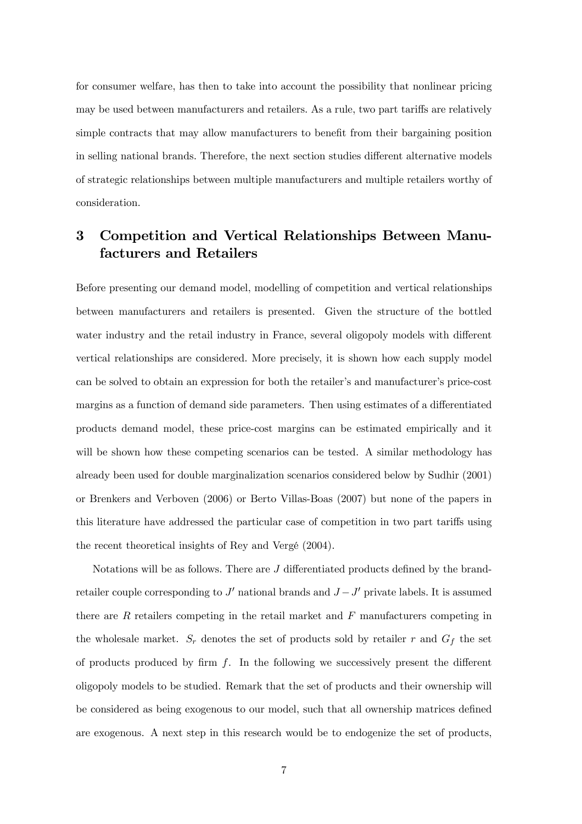for consumer welfare, has then to take into account the possibility that nonlinear pricing may be used between manufacturers and retailers. As a rule, two part tariffs are relatively simple contracts that may allow manufacturers to benefit from their bargaining position in selling national brands. Therefore, the next section studies different alternative models of strategic relationships between multiple manufacturers and multiple retailers worthy of consideration.

# 3 Competition and Vertical Relationships Between Manufacturers and Retailers

Before presenting our demand model, modelling of competition and vertical relationships between manufacturers and retailers is presented. Given the structure of the bottled water industry and the retail industry in France, several oligopoly models with different vertical relationships are considered. More precisely, it is shown how each supply model can be solved to obtain an expression for both the retailer's and manufacturer's price-cost margins as a function of demand side parameters. Then using estimates of a differentiated products demand model, these price-cost margins can be estimated empirically and it will be shown how these competing scenarios can be tested. A similar methodology has already been used for double marginalization scenarios considered below by Sudhir (2001) or Brenkers and Verboven (2006) or Berto Villas-Boas (2007) but none of the papers in this literature have addressed the particular case of competition in two part tariffs using the recent theoretical insights of Rey and Vergé (2004).

Notations will be as follows. There are  $J$  differentiated products defined by the brandretailer couple corresponding to  $J'$  national brands and  $J - J'$  private labels. It is assumed there are  $R$  retailers competing in the retail market and  $F$  manufacturers competing in the wholesale market.  $S_r$  denotes the set of products sold by retailer r and  $G_f$  the set of products produced by firm  $f$ . In the following we successively present the different oligopoly models to be studied. Remark that the set of products and their ownership will be considered as being exogenous to our model, such that all ownership matrices defined are exogenous. A next step in this research would be to endogenize the set of products,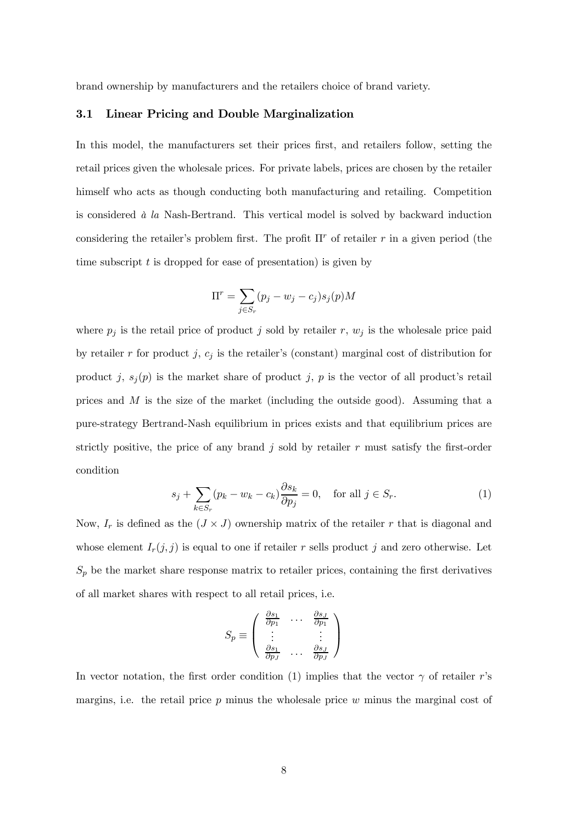brand ownership by manufacturers and the retailers choice of brand variety.

### 3.1 Linear Pricing and Double Marginalization

In this model, the manufacturers set their prices first, and retailers follow, setting the retail prices given the wholesale prices. For private labels, prices are chosen by the retailer himself who acts as though conducting both manufacturing and retailing. Competition is considered  $\dot{a}$  la Nash-Bertrand. This vertical model is solved by backward induction considering the retailer's problem first. The profit  $\Pi^r$  of retailer r in a given period (the time subscript  $t$  is dropped for ease of presentation) is given by

$$
\Pi^r = \sum_{j \in S_r} (p_j - w_j - c_j) s_j(p) M
$$

where  $p_j$  is the retail price of product j sold by retailer r,  $w_j$  is the wholesale price paid by retailer r for product j,  $c_j$  is the retailer's (constant) marginal cost of distribution for product j,  $s_j(p)$  is the market share of product j, p is the vector of all product's retail prices and M is the size of the market (including the outside good). Assuming that a pure-strategy Bertrand-Nash equilibrium in prices exists and that equilibrium prices are strictly positive, the price of any brand  $j$  sold by retailer r must satisfy the first-order condition

$$
s_j + \sum_{k \in S_r} (p_k - w_k - c_k) \frac{\partial s_k}{\partial p_j} = 0, \quad \text{for all } j \in S_r.
$$
 (1)

Now,  $I_r$  is defined as the  $(J \times J)$  ownership matrix of the retailer r that is diagonal and whose element  $I_r(j, j)$  is equal to one if retailer r sells product j and zero otherwise. Let  $S_p$  be the market share response matrix to retailer prices, containing the first derivatives of all market shares with respect to all retail prices, i.e.

$$
S_p \equiv \begin{pmatrix} \frac{\partial s_1}{\partial p_1} & \cdots & \frac{\partial s_J}{\partial p_1} \\ \vdots & & \vdots \\ \frac{\partial s_1}{\partial p_J} & \cdots & \frac{\partial s_J}{\partial p_J} \end{pmatrix}
$$

In vector notation, the first order condition (1) implies that the vector  $\gamma$  of retailer r's margins, i.e. the retail price  $p$  minus the wholesale price  $w$  minus the marginal cost of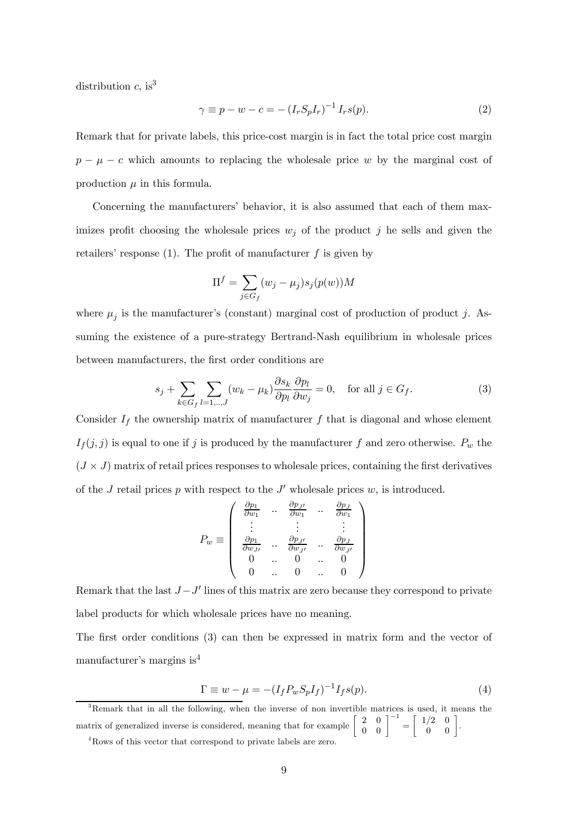distribution  $c$ , is<sup>3</sup>

$$
\gamma \equiv p - w - c = -\left(I_r S_p I_r\right)^{-1} I_r s(p). \tag{2}
$$

Remark that for private labels, this price-cost margin is in fact the total price cost margin  $p - \mu - c$  which amounts to replacing the wholesale price w by the marginal cost of production  $\mu$  in this formula.

Concerning the manufacturers' behavior, it is also assumed that each of them maximizes profit choosing the wholesale prices  $w_i$  of the product j he sells and given the retailers' response  $(1)$ . The profit of manufacturer f is given by

$$
\Pi^{f} = \sum_{j \in G_f} (w_j - \mu_j) s_j(p(w)) M
$$

where  $\mu_j$  is the manufacturer's (constant) marginal cost of production of product j. Assuming the existence of a pure-strategy Bertrand-Nash equilibrium in wholesale prices between manufacturers, the first order conditions are

$$
s_j + \sum_{k \in G_f} \sum_{l=1,\dots,J} (w_k - \mu_k) \frac{\partial s_k}{\partial p_l} \frac{\partial p_l}{\partial w_j} = 0, \quad \text{for all } j \in G_f.
$$
 (3)

Consider  $I_f$  the ownership matrix of manufacturer f that is diagonal and whose element  $I_f(j, j)$  is equal to one if j is produced by the manufacturer f and zero otherwise.  $P_w$  the  $(J \times J)$  matrix of retail prices responses to wholesale prices, containing the first derivatives of the J retail prices p with respect to the  $J'$  wholesale prices w, is introduced.

$$
P_w \equiv \left( \begin{array}{cccc} \frac{\partial p_1}{\partial w_1} & \cdots & \frac{\partial p_{J'}}{\partial w_1} & \cdots & \frac{\partial p_J}{\partial w_1} \\ \vdots & & \vdots & & \vdots \\ \frac{\partial p_1}{\partial w_{J'}} & \cdots & \frac{\partial p_{J'}}{\partial w_{J'}} & \cdots & \frac{\partial p_J}{\partial w_{J'}} \\ 0 & \cdots & 0 & \cdots & 0 \\ 0 & \cdots & 0 & \cdots & 0 \end{array} \right)
$$

Remark that the last  $J-J'$  lines of this matrix are zero because they correspond to private label products for which wholesale prices have no meaning.

The first order conditions (3) can then be expressed in matrix form and the vector of manufacturer's margins is<sup>4</sup>

$$
\Gamma \equiv w - \mu = -(I_f P_w S_p I_f)^{-1} I_f s(p). \tag{4}
$$

<sup>3</sup>Remark that in all the following, when the inverse of non invertible matrices is used, it means the matrix of generalized inverse is considered, meaning that for example  $\begin{bmatrix} 2 & 0 \\ 0 & 0 \end{bmatrix}^{-1} = \begin{bmatrix} 1/2 & 0 \\ 0 & 0 \end{bmatrix}$ .

<sup>&</sup>lt;sup>4</sup>Rows of this vector that correspond to private labels are zero.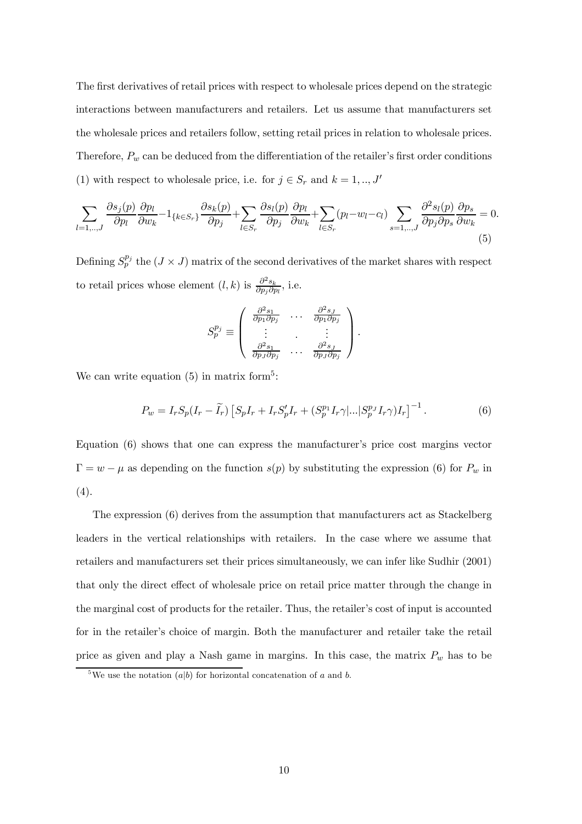The first derivatives of retail prices with respect to wholesale prices depend on the strategic interactions between manufacturers and retailers. Let us assume that manufacturers set the wholesale prices and retailers follow, setting retail prices in relation to wholesale prices. Therefore,  $P_w$  can be deduced from the differentiation of the retailer's first order conditions (1) with respect to wholesale price, i.e. for  $j \in S_r$  and  $k = 1, ..., J'$ 

$$
\sum_{l=1,\dots,J} \frac{\partial s_j(p)}{\partial p_l} \frac{\partial p_l}{\partial w_k} - 1_{\{k \in S_r\}} \frac{\partial s_k(p)}{\partial p_j} + \sum_{l \in S_r} \frac{\partial s_l(p)}{\partial p_j} \frac{\partial p_l}{\partial w_k} + \sum_{l \in S_r} (p_l - w_l - c_l) \sum_{s=1,\dots,J} \frac{\partial^2 s_l(p)}{\partial p_j \partial p_s} \frac{\partial p_s}{\partial w_k} = 0.
$$
\n(5)

Defining  $S_p^{p_j}$  the  $(J \times J)$  matrix of the second derivatives of the market shares with respect to retail prices whose element  $(l, k)$  is  $\frac{\partial^2 s_k}{\partial p_j \partial p_l}$ , i.e.

$$
S_p^{p_j} \equiv \begin{pmatrix} \frac{\partial^2 s_1}{\partial p_1 \partial p_j} & \cdots & \frac{\partial^2 s_J}{\partial p_1 \partial p_j} \\ \vdots & \ddots & \vdots \\ \frac{\partial^2 s_1}{\partial p_J \partial p_j} & \cdots & \frac{\partial^2 s_J}{\partial p_J \partial p_j} \end{pmatrix}.
$$

We can write equation  $(5)$  in matrix form<sup>5</sup>:

$$
P_w = I_r S_p (I_r - \tilde{I}_r) \left[ S_p I_r + I_r S'_p I_r + (S_p^{p_1} I_r \gamma |...| S_p^{p_J} I_r \gamma) I_r \right]^{-1}.
$$
 (6)

Equation (6) shows that one can express the manufacturer's price cost margins vector  $\Gamma = w - \mu$  as depending on the function  $s(p)$  by substituting the expression (6) for  $P_w$  in (4).

The expression (6) derives from the assumption that manufacturers act as Stackelberg leaders in the vertical relationships with retailers. In the case where we assume that retailers and manufacturers set their prices simultaneously, we can infer like Sudhir (2001) that only the direct effect of wholesale price on retail price matter through the change in the marginal cost of products for the retailer. Thus, the retailer's cost of input is accounted for in the retailer's choice of margin. Both the manufacturer and retailer take the retail price as given and play a Nash game in margins. In this case, the matrix  $P_w$  has to be

<sup>&</sup>lt;sup>5</sup>We use the notation  $(a|b)$  for horizontal concatenation of a and b.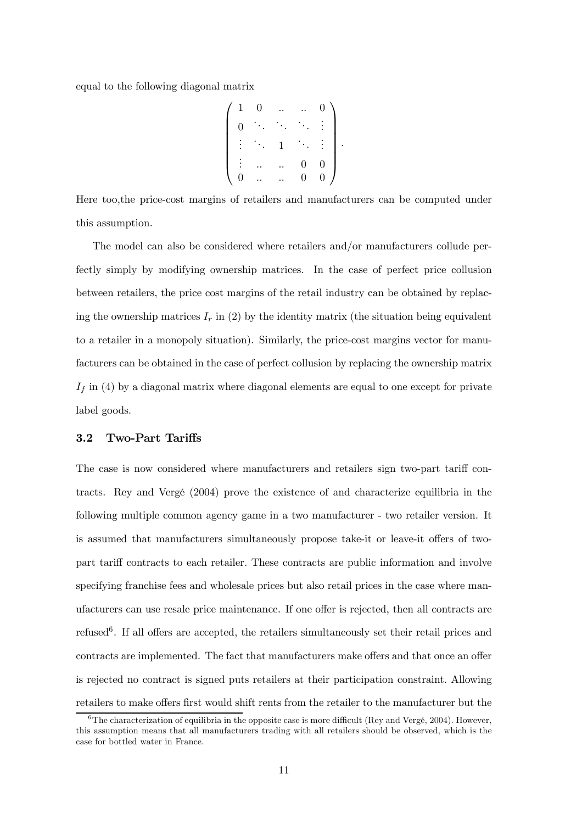equal to the following diagonal matrix

$$
\left(\begin{array}{cccccc} 1 & 0 & \ldots & \ldots & 0 \\ 0 & \ddots & \ddots & \ddots & \vdots \\ \vdots & \ddots & 1 & \ddots & \vdots \\ \vdots & \ldots & \ldots & 0 & 0 \\ 0 & \ldots & \ldots & 0 & 0 \end{array}\right).
$$

Here too,the price-cost margins of retailers and manufacturers can be computed under this assumption.

The model can also be considered where retailers and/or manufacturers collude perfectly simply by modifying ownership matrices. In the case of perfect price collusion between retailers, the price cost margins of the retail industry can be obtained by replacing the ownership matrices  $I_r$  in (2) by the identity matrix (the situation being equivalent to a retailer in a monopoly situation). Similarly, the price-cost margins vector for manufacturers can be obtained in the case of perfect collusion by replacing the ownership matrix  $I_f$  in (4) by a diagonal matrix where diagonal elements are equal to one except for private label goods.

### 3.2 Two-Part Tariffs

The case is now considered where manufacturers and retailers sign two-part tariff contracts. Rey and Vergé (2004) prove the existence of and characterize equilibria in the following multiple common agency game in a two manufacturer - two retailer version. It is assumed that manufacturers simultaneously propose take-it or leave-it offers of twopart tariff contracts to each retailer. These contracts are public information and involve specifying franchise fees and wholesale prices but also retail prices in the case where manufacturers can use resale price maintenance. If one offer is rejected, then all contracts are refused<sup>6</sup>. If all offers are accepted, the retailers simultaneously set their retail prices and contracts are implemented. The fact that manufacturers make offers and that once an offer is rejected no contract is signed puts retailers at their participation constraint. Allowing retailers to make offers first would shift rents from the retailer to the manufacturer but the

 $6\text{The characterization of equilibria in the opposite case is more difficult (Rev and Vereé, 2004). However,}$ this assumption means that all manufacturers trading with all retailers should be observed, which is the case for bottled water in France.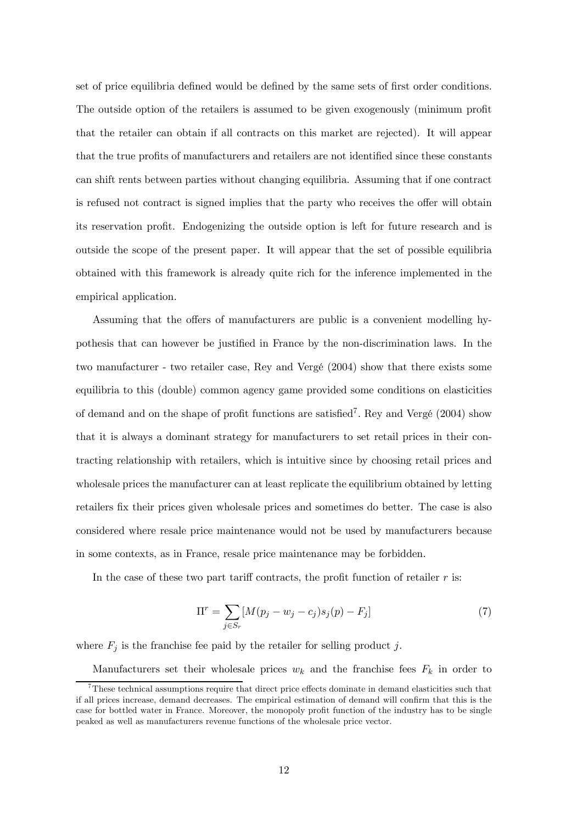set of price equilibria defined would be defined by the same sets of first order conditions. The outside option of the retailers is assumed to be given exogenously (minimum profit that the retailer can obtain if all contracts on this market are rejected). It will appear that the true profits of manufacturers and retailers are not identified since these constants can shift rents between parties without changing equilibria. Assuming that if one contract is refused not contract is signed implies that the party who receives the offer will obtain its reservation profit. Endogenizing the outside option is left for future research and is outside the scope of the present paper. It will appear that the set of possible equilibria obtained with this framework is already quite rich for the inference implemented in the empirical application.

Assuming that the offers of manufacturers are public is a convenient modelling hypothesis that can however be justified in France by the non-discrimination laws. In the two manufacturer - two retailer case, Rey and Vergé (2004) show that there exists some equilibria to this (double) common agency game provided some conditions on elasticities of demand and on the shape of profit functions are satisfied<sup>7</sup>. Rey and Vergé  $(2004)$  show that it is always a dominant strategy for manufacturers to set retail prices in their contracting relationship with retailers, which is intuitive since by choosing retail prices and wholesale prices the manufacturer can at least replicate the equilibrium obtained by letting retailers fix their prices given wholesale prices and sometimes do better. The case is also considered where resale price maintenance would not be used by manufacturers because in some contexts, as in France, resale price maintenance may be forbidden.

In the case of these two part tariff contracts, the profit function of retailer  $r$  is:

$$
\Pi^r = \sum_{j \in S_r} [M(p_j - w_j - c_j)s_j(p) - F_j] \tag{7}
$$

where  $F_j$  is the franchise fee paid by the retailer for selling product j.

Manufacturers set their wholesale prices  $w_k$  and the franchise fees  $F_k$  in order to

<sup>7</sup>These technical assumptions require that direct price effects dominate in demand elasticities such that if all prices increase, demand decreases. The empirical estimation of demand will confirm that this is the case for bottled water in France. Moreover, the monopoly profit function of the industry has to be single peaked as well as manufacturers revenue functions of the wholesale price vector.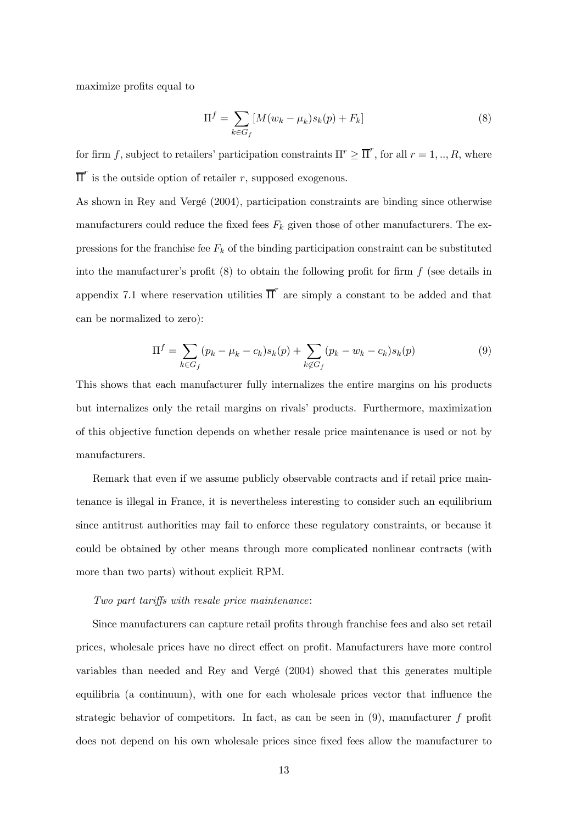maximize profits equal to

$$
\Pi^{f} = \sum_{k \in G_{f}} [M(w_{k} - \mu_{k})s_{k}(p) + F_{k}] \tag{8}
$$

for firm f, subject to retailers' participation constraints  $\Pi^r \geq \overline{\Pi}^r$ , for all  $r = 1, ..., R$ , where  $\overline{\Pi}^r$  is the outside option of retailer r, supposed exogenous.

As shown in Rey and Vergé (2004), participation constraints are binding since otherwise manufacturers could reduce the fixed fees  $F_k$  given those of other manufacturers. The expressions for the franchise fee  $F_k$  of the binding participation constraint can be substituted into the manufacturer's profit  $(8)$  to obtain the following profit for firm  $f$  (see details in appendix 7.1 where reservation utilities  $\overline{\Pi}^r$  are simply a constant to be added and that can be normalized to zero):

$$
\Pi^{f} = \sum_{k \in G_{f}} (p_k - \mu_k - c_k) s_k(p) + \sum_{k \notin G_{f}} (p_k - w_k - c_k) s_k(p)
$$
\n(9)

This shows that each manufacturer fully internalizes the entire margins on his products but internalizes only the retail margins on rivals' products. Furthermore, maximization of this objective function depends on whether resale price maintenance is used or not by manufacturers.

Remark that even if we assume publicly observable contracts and if retail price maintenance is illegal in France, it is nevertheless interesting to consider such an equilibrium since antitrust authorities may fail to enforce these regulatory constraints, or because it could be obtained by other means through more complicated nonlinear contracts (with more than two parts) without explicit RPM.

#### Two part tariffs with resale price maintenance:

Since manufacturers can capture retail profits through franchise fees and also set retail prices, wholesale prices have no direct effect on profit. Manufacturers have more control variables than needed and Rey and Vergé (2004) showed that this generates multiple equilibria (a continuum), with one for each wholesale prices vector that influence the strategic behavior of competitors. In fact, as can be seen in  $(9)$ , manufacturer f profit does not depend on his own wholesale prices since fixed fees allow the manufacturer to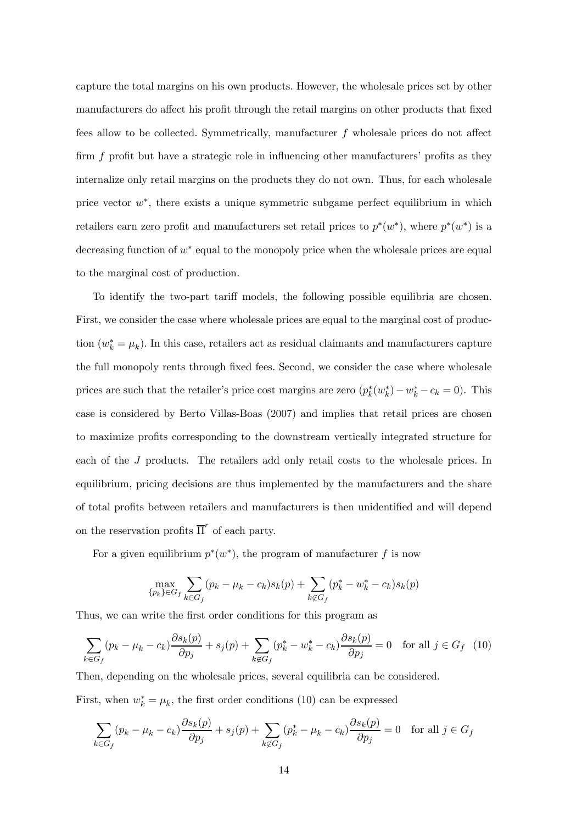capture the total margins on his own products. However, the wholesale prices set by other manufacturers do affect his profit through the retail margins on other products that fixed fees allow to be collected. Symmetrically, manufacturer f wholesale prices do not affect firm f profit but have a strategic role in influencing other manufacturers' profits as they internalize only retail margins on the products they do not own. Thus, for each wholesale price vector  $w^*$ , there exists a unique symmetric subgame perfect equilibrium in which retailers earn zero profit and manufacturers set retail prices to  $p^*(w^*)$ , where  $p^*(w^*)$  is a decreasing function of  $w^*$  equal to the monopoly price when the wholesale prices are equal to the marginal cost of production.

To identify the two-part tariff models, the following possible equilibria are chosen. First, we consider the case where wholesale prices are equal to the marginal cost of production  $(w_k^* = \mu_k)$ . In this case, retailers act as residual claimants and manufacturers capture the full monopoly rents through fixed fees. Second, we consider the case where wholesale prices are such that the retailer's price cost margins are zero  $(p_k^*(w_k^*) - w_k^* - c_k = 0)$ . This case is considered by Berto Villas-Boas (2007) and implies that retail prices are chosen to maximize profits corresponding to the downstream vertically integrated structure for each of the J products. The retailers add only retail costs to the wholesale prices. In equilibrium, pricing decisions are thus implemented by the manufacturers and the share of total profits between retailers and manufacturers is then unidentified and will depend on the reservation profits  $\overline{\Pi}^r$  of each party.

For a given equilibrium  $p^*(w^*)$ , the program of manufacturer f is now

$$
\max_{\{p_k\} \in G_f} \sum_{k \in G_f} (p_k - \mu_k - c_k) s_k(p) + \sum_{k \notin G_f} (p_k^* - w_k^* - c_k) s_k(p)
$$

Thus, we can write the first order conditions for this program as

$$
\sum_{k \in G_f} (p_k - \mu_k - c_k) \frac{\partial s_k(p)}{\partial p_j} + s_j(p) + \sum_{k \notin G_f} (p_k^* - w_k^* - c_k) \frac{\partial s_k(p)}{\partial p_j} = 0 \quad \text{for all } j \in G_f \tag{10}
$$

Then, depending on the wholesale prices, several equilibria can be considered.

First, when  $w_k^* = \mu_k$ , the first order conditions (10) can be expressed

$$
\sum_{k \in G_f} (p_k - \mu_k - c_k) \frac{\partial s_k(p)}{\partial p_j} + s_j(p) + \sum_{k \notin G_f} (p_k^* - \mu_k - c_k) \frac{\partial s_k(p)}{\partial p_j} = 0 \text{ for all } j \in G_f
$$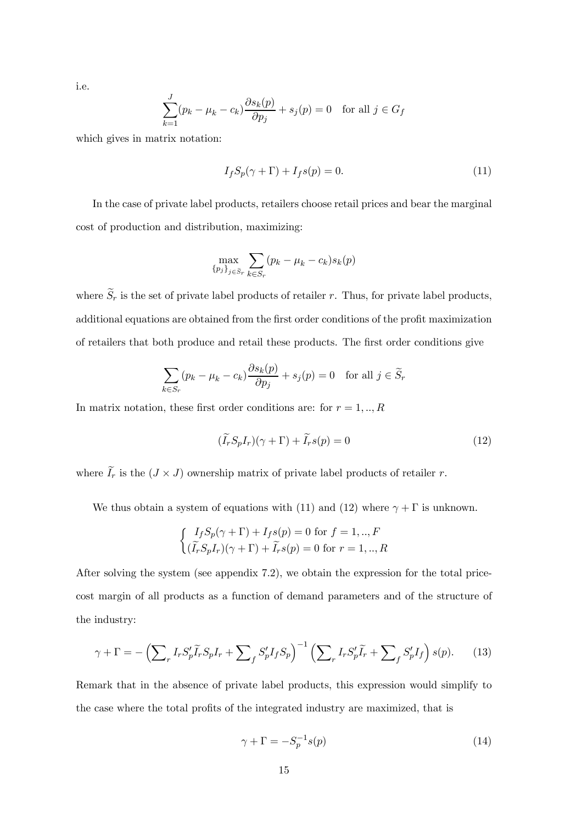i.e.

$$
\sum_{k=1}^{J} (p_k - \mu_k - c_k) \frac{\partial s_k(p)}{\partial p_j} + s_j(p) = 0 \text{ for all } j \in G_f
$$

which gives in matrix notation:

$$
I_f S_p(\gamma + \Gamma) + I_f s(p) = 0.
$$
\n(11)

In the case of private label products, retailers choose retail prices and bear the marginal cost of production and distribution, maximizing:

$$
\max_{\{p_j\}_{j \in \widetilde{S}_r}} \sum_{k \in S_r} (p_k - \mu_k - c_k) s_k(p)
$$

where  $\widetilde{S}_r$  is the set of private label products of retailer r. Thus, for private label products, additional equations are obtained from the first order conditions of the profit maximization of retailers that both produce and retail these products. The first order conditions give

$$
\sum_{k \in S_r} (p_k - \mu_k - c_k) \frac{\partial s_k(p)}{\partial p_j} + s_j(p) = 0 \text{ for all } j \in \widetilde{S}_r
$$

In matrix notation, these first order conditions are: for  $r = 1, \dots, R$ 

$$
(\tilde{I}_r S_p I_r)(\gamma + \Gamma) + \tilde{I}_r s(p) = 0 \tag{12}
$$

where  $I_r$  is the  $(J \times J)$  ownership matrix of private label products of retailer r.

We thus obtain a system of equations with (11) and (12) where  $\gamma + \Gamma$  is unknown.

$$
\begin{cases} I_f S_p(\gamma + \Gamma) + I_f s(p) = 0 \text{ for } f = 1,..,F\\ (\widetilde{I}_r S_p I_r)(\gamma + \Gamma) + \widetilde{I}_r s(p) = 0 \text{ for } r = 1,..,R \end{cases}
$$

After solving the system (see appendix 7.2), we obtain the expression for the total pricecost margin of all products as a function of demand parameters and of the structure of the industry:

$$
\gamma + \Gamma = -\left(\sum_{r} I_{r} S'_{p} \widetilde{I}_{r} S_{p} I_{r} + \sum_{f} S'_{p} I_{f} S_{p}\right)^{-1} \left(\sum_{r} I_{r} S'_{p} \widetilde{I}_{r} + \sum_{f} S'_{p} I_{f}\right) s(p). \tag{13}
$$

Remark that in the absence of private label products, this expression would simplify to the case where the total profits of the integrated industry are maximized, that is

$$
\gamma + \Gamma = -S_p^{-1} s(p) \tag{14}
$$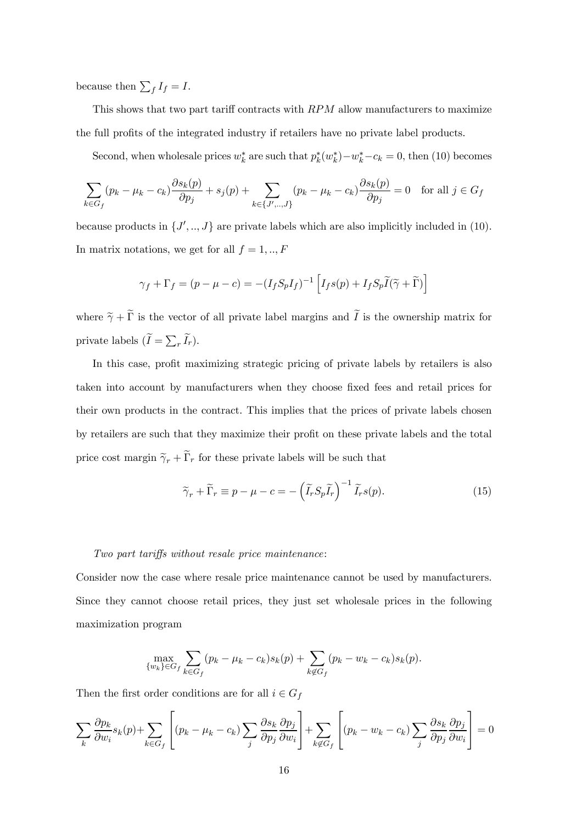because then  $\sum_f I_f = I$ .

This shows that two part tariff contracts with RPM allow manufacturers to maximize the full profits of the integrated industry if retailers have no private label products.

Second, when wholesale prices  $w_k^*$  are such that  $p_k^*(w_k^*) - w_k^* - c_k = 0$ , then (10) becomes

$$
\sum_{k \in G_f} (p_k - \mu_k - c_k) \frac{\partial s_k(p)}{\partial p_j} + s_j(p) + \sum_{k \in \{J', ..., J\}} (p_k - \mu_k - c_k) \frac{\partial s_k(p)}{\partial p_j} = 0 \quad \text{for all } j \in G_f
$$

because products in  $\{J', ..., J\}$  are private labels which are also implicitly included in (10). In matrix notations, we get for all  $f = 1, \dots, F$ 

$$
\gamma_f + \Gamma_f = (p - \mu - c) = -(I_f S_p I_f)^{-1} \left[ I_f s(p) + I_f S_p \widetilde{I}(\widetilde{\gamma} + \widetilde{\Gamma}) \right]
$$

where  $\tilde{\gamma} + \Gamma$  is the vector of all private label margins and I is the ownership matrix for private labels  $(\widetilde{I} = \sum_{r} \widetilde{I}_r).$ 

In this case, profit maximizing strategic pricing of private labels by retailers is also taken into account by manufacturers when they choose fixed fees and retail prices for their own products in the contract. This implies that the prices of private labels chosen by retailers are such that they maximize their profit on these private labels and the total price cost margin  $\tilde{\gamma}_r + \Gamma_r$  for these private labels will be such that

$$
\widetilde{\gamma}_r + \widetilde{\Gamma}_r \equiv p - \mu - c = -\left(\widetilde{I}_r S_p \widetilde{I}_r\right)^{-1} \widetilde{I}_r s(p). \tag{15}
$$

### Two part tariffs without resale price maintenance:

Consider now the case where resale price maintenance cannot be used by manufacturers. Since they cannot choose retail prices, they just set wholesale prices in the following maximization program

$$
\max_{\{w_k\} \in G_f} \sum_{k \in G_f} (p_k - \mu_k - c_k) s_k(p) + \sum_{k \notin G_f} (p_k - w_k - c_k) s_k(p).
$$

Then the first order conditions are for all  $i \in G_f$ 

$$
\sum_{k} \frac{\partial p_k}{\partial w_i} s_k(p) + \sum_{k \in G_f} \left[ (p_k - \mu_k - c_k) \sum_{j} \frac{\partial s_k}{\partial p_j} \frac{\partial p_j}{\partial w_i} \right] + \sum_{k \notin G_f} \left[ (p_k - w_k - c_k) \sum_{j} \frac{\partial s_k}{\partial p_j} \frac{\partial p_j}{\partial w_i} \right] = 0
$$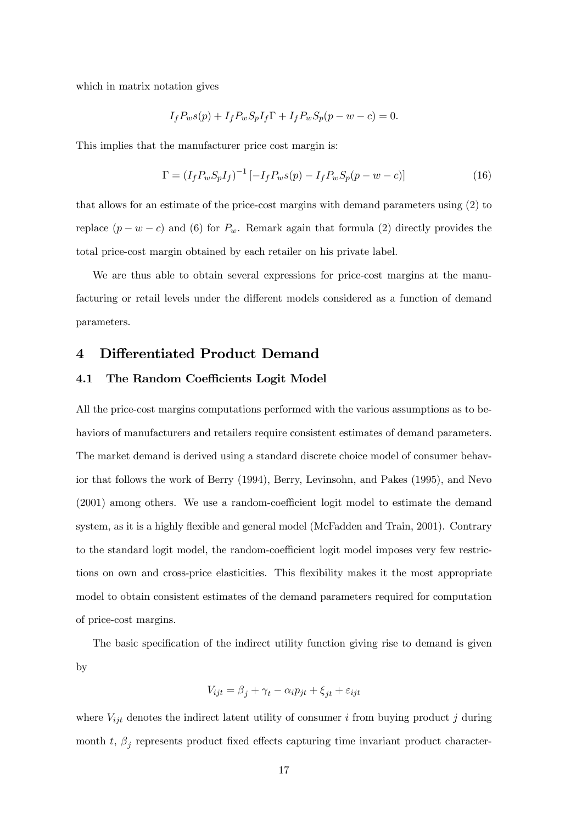which in matrix notation gives

$$
I_f P_w s(p) + I_f P_w S_p I_f \Gamma + I_f P_w S_p (p - w - c) = 0.
$$

This implies that the manufacturer price cost margin is:

$$
\Gamma = (I_f P_w S_p I_f)^{-1} \left[ -I_f P_w s(p) - I_f P_w S_p (p - w - c) \right]
$$
\n(16)

that allows for an estimate of the price-cost margins with demand parameters using (2) to replace  $(p - w - c)$  and (6) for  $P_w$ . Remark again that formula (2) directly provides the total price-cost margin obtained by each retailer on his private label.

We are thus able to obtain several expressions for price-cost margins at the manufacturing or retail levels under the different models considered as a function of demand parameters.

### 4 Differentiated Product Demand

### 4.1 The Random Coefficients Logit Model

All the price-cost margins computations performed with the various assumptions as to behaviors of manufacturers and retailers require consistent estimates of demand parameters. The market demand is derived using a standard discrete choice model of consumer behavior that follows the work of Berry (1994), Berry, Levinsohn, and Pakes (1995), and Nevo (2001) among others. We use a random-coefficient logit model to estimate the demand system, as it is a highly flexible and general model (McFadden and Train, 2001). Contrary to the standard logit model, the random-coefficient logit model imposes very few restrictions on own and cross-price elasticities. This flexibility makes it the most appropriate model to obtain consistent estimates of the demand parameters required for computation of price-cost margins.

The basic specification of the indirect utility function giving rise to demand is given by

$$
V_{ijt} = \beta_j + \gamma_t - \alpha_i p_{jt} + \xi_{jt} + \varepsilon_{ijt}
$$

where  $V_{ijt}$  denotes the indirect latent utility of consumer i from buying product j during month t,  $\beta_j$  represents product fixed effects capturing time invariant product character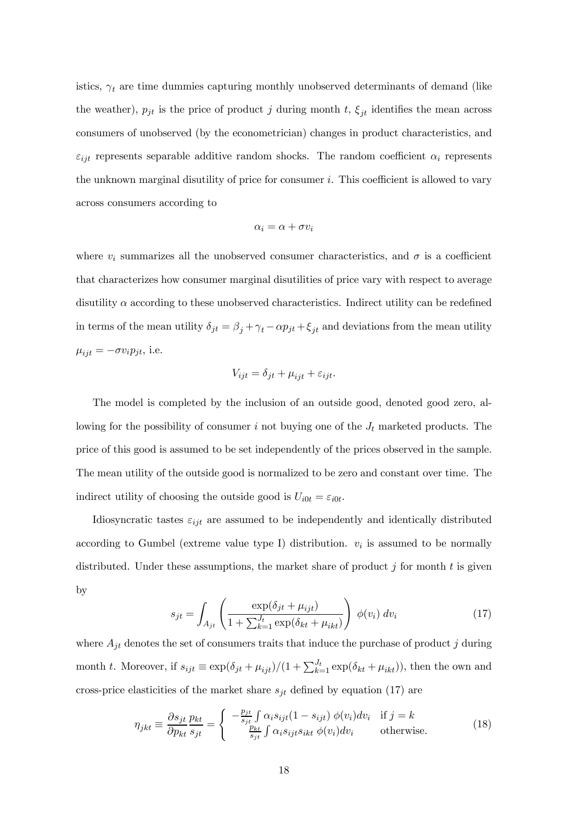istics,  $\gamma_t$  are time dummies capturing monthly unobserved determinants of demand (like the weather),  $p_{jt}$  is the price of product j during month t,  $\xi_{jt}$  identifies the mean across consumers of unobserved (by the econometrician) changes in product characteristics, and  $\varepsilon_{ijt}$  represents separable additive random shocks. The random coefficient  $\alpha_i$  represents the unknown marginal disutility of price for consumer i. This coefficient is allowed to vary across consumers according to

$$
\alpha_i = \alpha + \sigma v_i
$$

where  $v_i$  summarizes all the unobserved consumer characteristics, and  $\sigma$  is a coefficient that characterizes how consumer marginal disutilities of price vary with respect to average disutility α according to these unobserved characteristics. Indirect utility can be redefined in terms of the mean utility  $\delta_{jt} = \beta_j + \gamma_t - \alpha p_{jt} + \xi_{jt}$  and deviations from the mean utility  $\mu_{ijt} = -\sigma v_i p_{jt}$ , i.e.

$$
V_{ijt} = \delta_{jt} + \mu_{ijt} + \varepsilon_{ijt}.
$$

The model is completed by the inclusion of an outside good, denoted good zero, allowing for the possibility of consumer i not buying one of the  $J_t$  marketed products. The price of this good is assumed to be set independently of the prices observed in the sample. The mean utility of the outside good is normalized to be zero and constant over time. The indirect utility of choosing the outside good is  $U_{i0t} = \varepsilon_{i0t}$ .

Idiosyncratic tastes  $\varepsilon_{ijt}$  are assumed to be independently and identically distributed according to Gumbel (extreme value type I) distribution.  $v_i$  is assumed to be normally distributed. Under these assumptions, the market share of product  $j$  for month  $t$  is given by

$$
s_{jt} = \int_{A_{jt}} \left( \frac{\exp(\delta_{jt} + \mu_{ijt})}{1 + \sum_{k=1}^{J_t} \exp(\delta_{kt} + \mu_{ikt})} \right) \phi(v_i) dv_i \tag{17}
$$

where  $A_{jt}$  denotes the set of consumers traits that induce the purchase of product j during month t. Moreover, if  $s_{ijt} \equiv \exp(\delta_{jt} + \mu_{ijt})/(1 + \sum_{k=1}^{J_t} \exp(\delta_{kt} + \mu_{ikt}))$ , then the own and cross-price elasticities of the market share  $s_{jt}$  defined by equation (17) are

$$
\eta_{jkt} \equiv \frac{\partial s_{jt}}{\partial p_{kt}} \frac{p_{kt}}{s_{jt}} = \begin{cases}\n-\frac{p_{jt}}{s_{jt}} \int \alpha_i s_{ijt} (1 - s_{ijt}) \phi(v_i) dv_i & \text{if } j = k \\
\frac{p_{kt}}{s_{jt}} \int \alpha_i s_{ijt} s_{ikt} \phi(v_i) dv_i & \text{otherwise.} \n\end{cases}
$$
\n(18)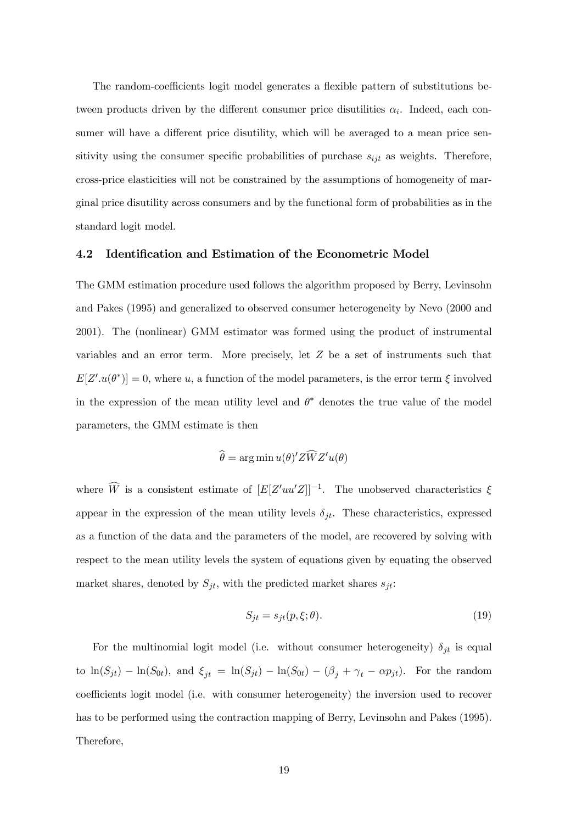The random-coefficients logit model generates a flexible pattern of substitutions between products driven by the different consumer price disutilities  $\alpha_i$ . Indeed, each consumer will have a different price disutility, which will be averaged to a mean price sensitivity using the consumer specific probabilities of purchase  $s_{ijt}$  as weights. Therefore, cross-price elasticities will not be constrained by the assumptions of homogeneity of marginal price disutility across consumers and by the functional form of probabilities as in the standard logit model.

### 4.2 Identification and Estimation of the Econometric Model

The GMM estimation procedure used follows the algorithm proposed by Berry, Levinsohn and Pakes (1995) and generalized to observed consumer heterogeneity by Nevo (2000 and 2001). The (nonlinear) GMM estimator was formed using the product of instrumental variables and an error term. More precisely, let Z be a set of instruments such that  $E[Z'.u(\theta^*)] = 0$ , where u, a function of the model parameters, is the error term  $\xi$  involved in the expression of the mean utility level and  $\theta^*$  denotes the true value of the model parameters, the GMM estimate is then

$$
\widehat{\theta} = \arg\min u(\theta)' Z \widehat{W} Z' u(\theta)
$$

where  $\widehat{W}$  is a consistent estimate of  $[E[Z'uu'Z]]^{-1}$ . The unobserved characteristics  $\xi$ appear in the expression of the mean utility levels  $\delta_{jt}$ . These characteristics, expressed as a function of the data and the parameters of the model, are recovered by solving with respect to the mean utility levels the system of equations given by equating the observed market shares, denoted by  $S_{jt}$ , with the predicted market shares  $s_{jt}$ :

$$
S_{jt} = s_{jt}(p, \xi; \theta). \tag{19}
$$

For the multinomial logit model (i.e. without consumer heterogeneity)  $\delta_{jt}$  is equal to  $ln(S_{jt}) - ln(S_{0t})$ , and  $\xi_{jt} = ln(S_{jt}) - ln(S_{0t}) - (\beta_j + \gamma_t - \alpha p_{jt})$ . For the random coefficients logit model (i.e. with consumer heterogeneity) the inversion used to recover has to be performed using the contraction mapping of Berry, Levinsohn and Pakes (1995). Therefore,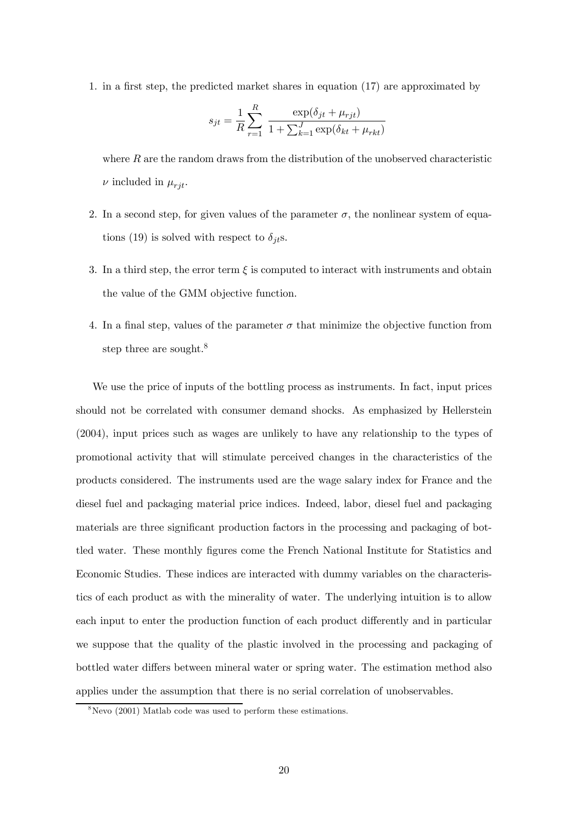1. in a first step, the predicted market shares in equation (17) are approximated by

$$
s_{jt} = \frac{1}{R} \sum_{r=1}^{R} \frac{\exp(\delta_{jt} + \mu_{rjt})}{1 + \sum_{k=1}^{J} \exp(\delta_{kt} + \mu_{rkt})}
$$

where  $R$  are the random draws from the distribution of the unobserved characteristic  $\nu$  included in  $\mu_{rit}$ .

- 2. In a second step, for given values of the parameter  $\sigma$ , the nonlinear system of equations (19) is solved with respect to  $\delta_{it}$ s.
- 3. In a third step, the error term  $\xi$  is computed to interact with instruments and obtain the value of the GMM objective function.
- 4. In a final step, values of the parameter  $\sigma$  that minimize the objective function from step three are sought.<sup>8</sup>

We use the price of inputs of the bottling process as instruments. In fact, input prices should not be correlated with consumer demand shocks. As emphasized by Hellerstein (2004), input prices such as wages are unlikely to have any relationship to the types of promotional activity that will stimulate perceived changes in the characteristics of the products considered. The instruments used are the wage salary index for France and the diesel fuel and packaging material price indices. Indeed, labor, diesel fuel and packaging materials are three significant production factors in the processing and packaging of bottled water. These monthly figures come the French National Institute for Statistics and Economic Studies. These indices are interacted with dummy variables on the characteristics of each product as with the minerality of water. The underlying intuition is to allow each input to enter the production function of each product differently and in particular we suppose that the quality of the plastic involved in the processing and packaging of bottled water differs between mineral water or spring water. The estimation method also applies under the assumption that there is no serial correlation of unobservables.

 $8$ Nevo (2001) Matlab code was used to perform these estimations.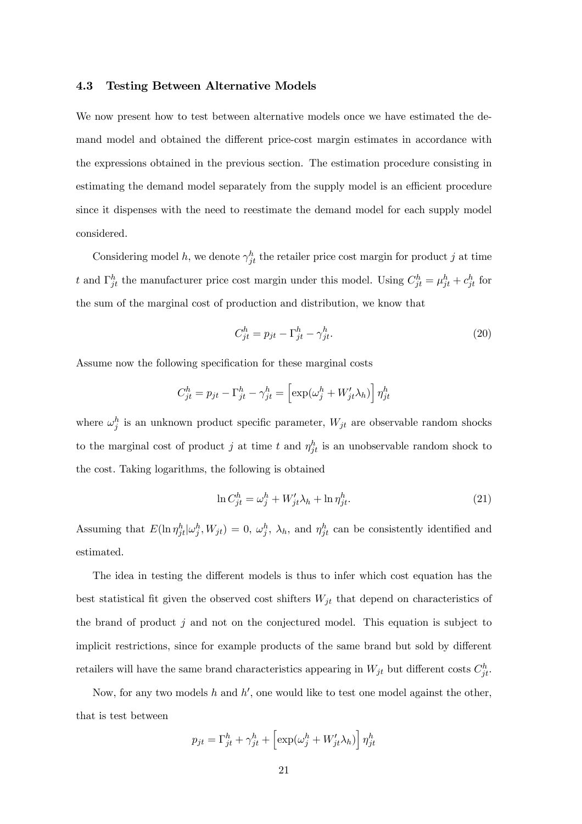#### 4.3 Testing Between Alternative Models

We now present how to test between alternative models once we have estimated the demand model and obtained the different price-cost margin estimates in accordance with the expressions obtained in the previous section. The estimation procedure consisting in estimating the demand model separately from the supply model is an efficient procedure since it dispenses with the need to reestimate the demand model for each supply model considered.

Considering model h, we denote  $\gamma_{jt}^h$  the retailer price cost margin for product j at time t and  $\Gamma_{jt}^h$  the manufacturer price cost margin under this model. Using  $C_{jt}^h = \mu_{jt}^h + c_{jt}^h$  for the sum of the marginal cost of production and distribution, we know that

$$
C_{jt}^h = p_{jt} - \Gamma_{jt}^h - \gamma_{jt}^h. \tag{20}
$$

Assume now the following specification for these marginal costs

$$
C_{jt}^{h} = p_{jt} - \Gamma_{jt}^{h} - \gamma_{jt}^{h} = \left[ \exp(\omega_j^h + W_{jt}' \lambda_h) \right] \eta_{jt}^{h}
$$

where  $\omega_j^h$  is an unknown product specific parameter,  $W_{jt}$  are observable random shocks to the marginal cost of product j at time t and  $\eta_{jt}^h$  is an unobservable random shock to the cost. Taking logarithms, the following is obtained

$$
\ln C_{jt}^h = \omega_j^h + W_{jt}' \lambda_h + \ln \eta_{jt}^h. \tag{21}
$$

Assuming that  $E(\ln \eta_{jt}^h|\omega_j^h, W_{jt})=0, \omega_j^h, \lambda_h$ , and  $\eta_{jt}^h$  can be consistently identified and estimated.

The idea in testing the different models is thus to infer which cost equation has the best statistical fit given the observed cost shifters  $W_{jt}$  that depend on characteristics of the brand of product  $j$  and not on the conjectured model. This equation is subject to implicit restrictions, since for example products of the same brand but sold by different retailers will have the same brand characteristics appearing in  $W_{jt}$  but different costs  $C_{jt}^h$ .

Now, for any two models h and  $h'$ , one would like to test one model against the other, that is test between

$$
p_{jt} = \Gamma_{jt}^h + \gamma_{jt}^h + \left[ \exp(\omega_j^h + W_{jt}' \lambda_h) \right] \eta_{jt}^h
$$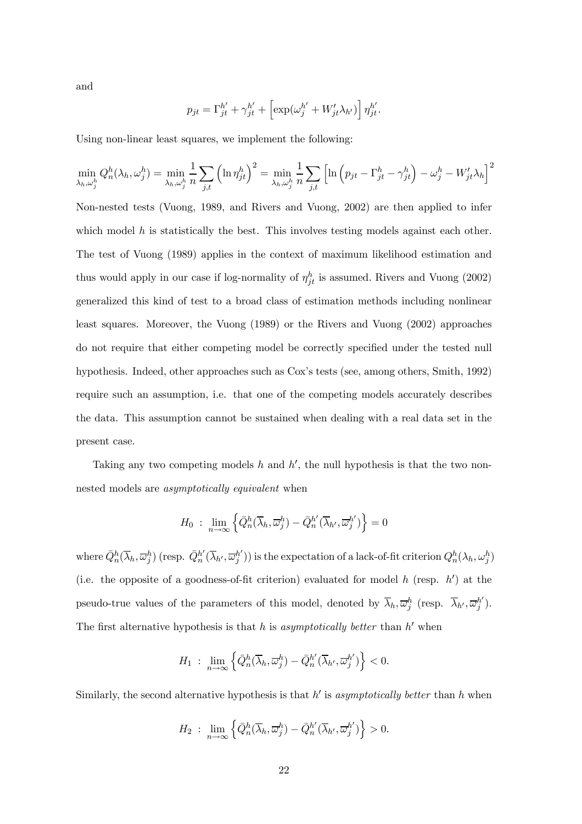and

$$
p_{jt} = \Gamma_{jt}^{h'} + \gamma_{jt}^{h'} + \left[ \exp(\omega_j^{h'} + W_{jt}' \lambda_{h'}) \right] \eta_{jt}^{h'}.
$$

Using non-linear least squares, we implement the following:

$$
\min_{\lambda_h, \omega_j^h} Q_n^h(\lambda_h, \omega_j^h) = \min_{\lambda_h, \omega_j^h} \frac{1}{n} \sum_{j,t} \left( \ln \eta_{jt}^h \right)^2 = \min_{\lambda_h, \omega_j^h} \frac{1}{n} \sum_{j,t} \left[ \ln \left( p_{jt} - \Gamma_{jt}^h - \gamma_{jt}^h \right) - \omega_j^h - W_{jt}' \lambda_h \right]^2
$$

Non-nested tests (Vuong, 1989, and Rivers and Vuong, 2002) are then applied to infer which model  $h$  is statistically the best. This involves testing models against each other. The test of Vuong (1989) applies in the context of maximum likelihood estimation and thus would apply in our case if log-normality of  $\eta_{jt}^h$  is assumed. Rivers and Vuong (2002) generalized this kind of test to a broad class of estimation methods including nonlinear least squares. Moreover, the Vuong (1989) or the Rivers and Vuong (2002) approaches do not require that either competing model be correctly specified under the tested null hypothesis. Indeed, other approaches such as Cox's tests (see, among others, Smith, 1992) require such an assumption, i.e. that one of the competing models accurately describes the data. This assumption cannot be sustained when dealing with a real data set in the present case.

Taking any two competing models h and  $h'$ , the null hypothesis is that the two nonnested models are asymptotically equivalent when

$$
H_0: \lim_{n\to\infty}\left\{\bar{Q}_n^h(\overline{\lambda}_h,\overline{\omega}_j^h)-\bar{Q}_n^{h'}(\overline{\lambda}_{h'},\overline{\omega}_j^{h'})\right\}=0
$$

where  $\bar{Q}_n^h(\overline{\lambda}_h, \overline{\omega}_j^h)$  (resp.  $\bar{Q}_n^{h'}(\overline{\lambda}_{h'}, \overline{\omega}_j^{h'})$ ) is the expectation of a lack-of-fit criterion  $Q_n^h(\lambda_h, \omega_j^h)$ (i.e. the opposite of a goodness-of-fit criterion) evaluated for model h (resp.  $h'$ ) at the pseudo-true values of the parameters of this model, denoted by  $\overline{\lambda}_h, \overline{\omega}_j^h$  (resp.  $\overline{\lambda}_{h'}, \overline{\omega}_j^h'$ ). The first alternative hypothesis is that h is asymptotically better than  $h'$  when

$$
H_1 \; : \; \lim_{n \to \infty} \left\{ \bar{Q}_n^h(\overline{\lambda}_h, \overline{\omega}_j^h) - \bar{Q}_n^{h'}(\overline{\lambda}_{h'}, \overline{\omega}_j^{h'}) \right\} < 0.
$$

Similarly, the second alternative hypothesis is that  $h'$  is asymptotically better than h when

$$
H_2 \; : \; \lim_{n \to \infty} \left\{ \bar{Q}_n^h(\overline{\lambda}_h, \overline{\omega}_j^h) - \bar{Q}_n^{h'}(\overline{\lambda}_{h'}, \overline{\omega}_j^{h'}) \right\} > 0.
$$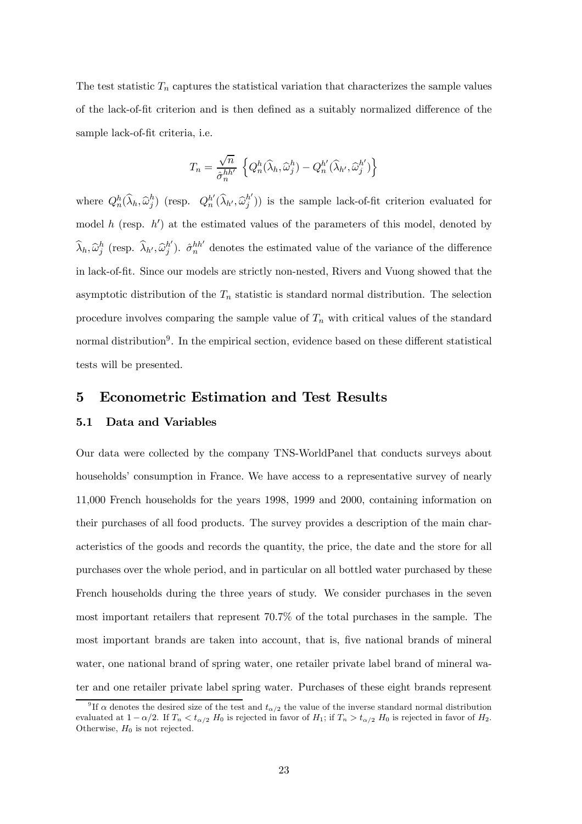The test statistic  $T_n$  captures the statistical variation that characterizes the sample values of the lack-of-fit criterion and is then defined as a suitably normalized difference of the sample lack-of-fit criteria, i.e.

$$
T_n = \frac{\sqrt{n}}{\hat{\sigma}_n^{hh'}} \left\{ Q_n^h(\widehat{\lambda}_h, \widehat{\omega}_j^h) - Q_n^{h'}(\widehat{\lambda}_{h'}, \widehat{\omega}_j^{h'}) \right\}
$$

where  $Q_n^h(\hat{\lambda}_h, \hat{\omega}_j^h)$  (resp.  $Q_n^{h'}(\hat{\lambda}_{h'}, \hat{\omega}_j^{h'})$ ) is the sample lack-of-fit criterion evaluated for model h (resp.  $h'$ ) at the estimated values of the parameters of this model, denoted by  $\widehat{\lambda}_h, \widehat{\omega}_j^h$  (resp.  $\widehat{\lambda}_{h'}, \widehat{\omega}_j^{h'}$ ).  $\widehat{\sigma}_n^{hh'}$  denotes the estimated value of the variance of the difference in lack-of-fit. Since our models are strictly non-nested, Rivers and Vuong showed that the asymptotic distribution of the  $T_n$  statistic is standard normal distribution. The selection procedure involves comparing the sample value of  $T_n$  with critical values of the standard normal distribution<sup>9</sup>. In the empirical section, evidence based on these different statistical tests will be presented.

### 5 Econometric Estimation and Test Results

#### 5.1 Data and Variables

Our data were collected by the company TNS-WorldPanel that conducts surveys about households' consumption in France. We have access to a representative survey of nearly 11,000 French households for the years 1998, 1999 and 2000, containing information on their purchases of all food products. The survey provides a description of the main characteristics of the goods and records the quantity, the price, the date and the store for all purchases over the whole period, and in particular on all bottled water purchased by these French households during the three years of study. We consider purchases in the seven most important retailers that represent 70.7% of the total purchases in the sample. The most important brands are taken into account, that is, five national brands of mineral water, one national brand of spring water, one retailer private label brand of mineral water and one retailer private label spring water. Purchases of these eight brands represent

<sup>&</sup>lt;sup>9</sup> If  $\alpha$  denotes the desired size of the test and  $t_{\alpha/2}$  the value of the inverse standard normal distribution evaluated at  $1 - \alpha/2$ . If  $T_n < t_{\alpha/2}$  H<sub>0</sub> is rejected in favor of H<sub>1</sub>; if  $T_n > t_{\alpha/2}$  H<sub>0</sub> is rejected in favor of H<sub>2</sub>. Otherwise,  $H_0$  is not rejected.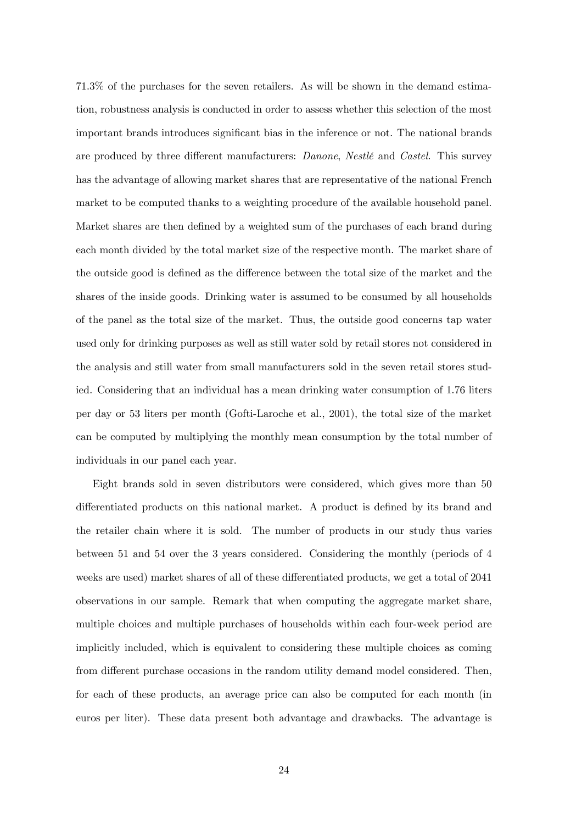71.3% of the purchases for the seven retailers. As will be shown in the demand estimation, robustness analysis is conducted in order to assess whether this selection of the most important brands introduces significant bias in the inference or not. The national brands are produced by three different manufacturers: Danone, Nestlé and Castel. This survey has the advantage of allowing market shares that are representative of the national French market to be computed thanks to a weighting procedure of the available household panel. Market shares are then defined by a weighted sum of the purchases of each brand during each month divided by the total market size of the respective month. The market share of the outside good is defined as the difference between the total size of the market and the shares of the inside goods. Drinking water is assumed to be consumed by all households of the panel as the total size of the market. Thus, the outside good concerns tap water used only for drinking purposes as well as still water sold by retail stores not considered in the analysis and still water from small manufacturers sold in the seven retail stores studied. Considering that an individual has a mean drinking water consumption of 1.76 liters per day or 53 liters per month (Gofti-Laroche et al., 2001), the total size of the market can be computed by multiplying the monthly mean consumption by the total number of individuals in our panel each year.

Eight brands sold in seven distributors were considered, which gives more than 50 differentiated products on this national market. A product is defined by its brand and the retailer chain where it is sold. The number of products in our study thus varies between 51 and 54 over the 3 years considered. Considering the monthly (periods of 4 weeks are used) market shares of all of these differentiated products, we get a total of 2041 observations in our sample. Remark that when computing the aggregate market share, multiple choices and multiple purchases of households within each four-week period are implicitly included, which is equivalent to considering these multiple choices as coming from different purchase occasions in the random utility demand model considered. Then, for each of these products, an average price can also be computed for each month (in euros per liter). These data present both advantage and drawbacks. The advantage is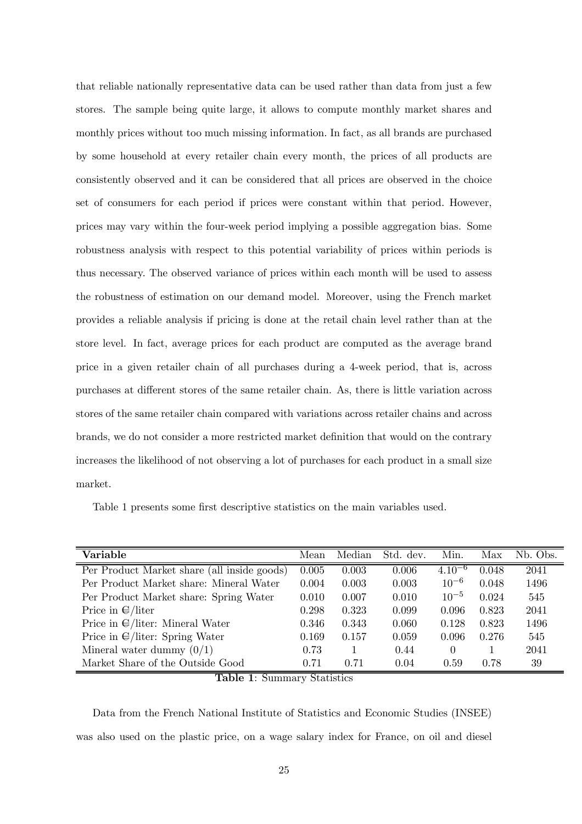that reliable nationally representative data can be used rather than data from just a few stores. The sample being quite large, it allows to compute monthly market shares and monthly prices without too much missing information. In fact, as all brands are purchased by some household at every retailer chain every month, the prices of all products are consistently observed and it can be considered that all prices are observed in the choice set of consumers for each period if prices were constant within that period. However, prices may vary within the four-week period implying a possible aggregation bias. Some robustness analysis with respect to this potential variability of prices within periods is thus necessary. The observed variance of prices within each month will be used to assess the robustness of estimation on our demand model. Moreover, using the French market provides a reliable analysis if pricing is done at the retail chain level rather than at the store level. In fact, average prices for each product are computed as the average brand price in a given retailer chain of all purchases during a 4-week period, that is, across purchases at different stores of the same retailer chain. As, there is little variation across stores of the same retailer chain compared with variations across retailer chains and across brands, we do not consider a more restricted market definition that would on the contrary increases the likelihood of not observing a lot of purchases for each product in a small size market.

Table 1 presents some first descriptive statistics on the main variables used.

| Variable                                    | Mean  | Median | Std. dev. | Min.        | Max   | Nb. Obs. |
|---------------------------------------------|-------|--------|-----------|-------------|-------|----------|
| Per Product Market share (all inside goods) | 0.005 | 0.003  | 0.006     | $4.10^{-6}$ | 0.048 | 2041     |
| Per Product Market share: Mineral Water     | 0.004 | 0.003  | 0.003     | $10^{-6}$   | 0.048 | 1496     |
| Per Product Market share: Spring Water      | 0.010 | 0.007  | 0.010     | $10^{-5}$   | 0.024 | 545      |
| Price in $\epsilon$ /liter                  | 0.298 | 0.323  | 0.099     | 0.096       | 0.823 | 2041     |
| Price in $\bigoplus$ /liter: Mineral Water  | 0.346 | 0.343  | 0.060     | 0.128       | 0.823 | 1496     |
| Price in $\bigoplus$ /liter: Spring Water   | 0.169 | 0.157  | 0.059     | 0.096       | 0.276 | 545      |
| Mineral water dummy $(0/1)$                 | 0.73  |        | 0.44      | $\Omega$    |       | 2041     |
| Market Share of the Outside Good            | 0.71  | 0.71   | 0.04      | 0.59        | 0.78  | 39       |

Table 1: Summary Statistics

Data from the French National Institute of Statistics and Economic Studies (INSEE) was also used on the plastic price, on a wage salary index for France, on oil and diesel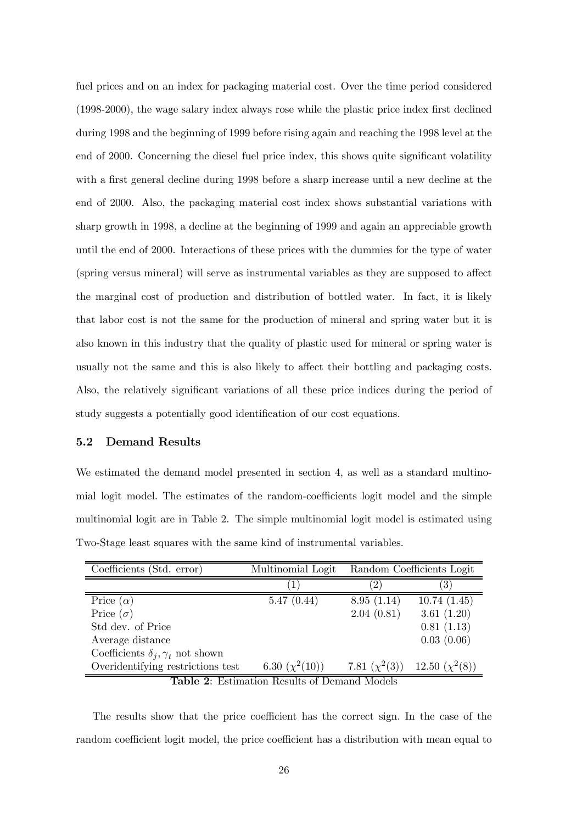fuel prices and on an index for packaging material cost. Over the time period considered (1998-2000), the wage salary index always rose while the plastic price index first declined during 1998 and the beginning of 1999 before rising again and reaching the 1998 level at the end of 2000. Concerning the diesel fuel price index, this shows quite significant volatility with a first general decline during 1998 before a sharp increase until a new decline at the end of 2000. Also, the packaging material cost index shows substantial variations with sharp growth in 1998, a decline at the beginning of 1999 and again an appreciable growth until the end of 2000. Interactions of these prices with the dummies for the type of water (spring versus mineral) will serve as instrumental variables as they are supposed to affect the marginal cost of production and distribution of bottled water. In fact, it is likely that labor cost is not the same for the production of mineral and spring water but it is also known in this industry that the quality of plastic used for mineral or spring water is usually not the same and this is also likely to affect their bottling and packaging costs. Also, the relatively significant variations of all these price indices during the period of study suggests a potentially good identification of our cost equations.

#### 5.2 Demand Results

We estimated the demand model presented in section 4, as well as a standard multinomial logit model. The estimates of the random-coefficients logit model and the simple multinomial logit are in Table 2. The simple multinomial logit model is estimated using Two-Stage least squares with the same kind of instrumental variables.

| Coefficients (Std. error)                    | Multinomial Logit   |                    | Random Coefficients Logit |  |  |  |  |  |  |
|----------------------------------------------|---------------------|--------------------|---------------------------|--|--|--|--|--|--|
|                                              |                     | $2^{\circ}$        | $ 3\rangle$               |  |  |  |  |  |  |
| Price $(\alpha)$                             | 5.47(0.44)          | 8.95(1.14)         | 10.74(1.45)               |  |  |  |  |  |  |
| Price $(\sigma)$                             |                     | 2.04(0.81)         | 3.61(1.20)                |  |  |  |  |  |  |
| Std dev. of Price                            |                     |                    | 0.81(1.13)                |  |  |  |  |  |  |
| Average distance                             |                     |                    | 0.03(0.06)                |  |  |  |  |  |  |
| Coefficients $\delta_i, \gamma_t$ not shown  |                     |                    |                           |  |  |  |  |  |  |
| Overidentifying restrictions test            | 6.30 $(\chi^2(10))$ | 7.81 $(\chi^2(3))$ | 12.50 $(\chi^2(8))$       |  |  |  |  |  |  |
| Table 2: Estimation Results of Demand Models |                     |                    |                           |  |  |  |  |  |  |

The results show that the price coefficient has the correct sign. In the case of the random coefficient logit model, the price coefficient has a distribution with mean equal to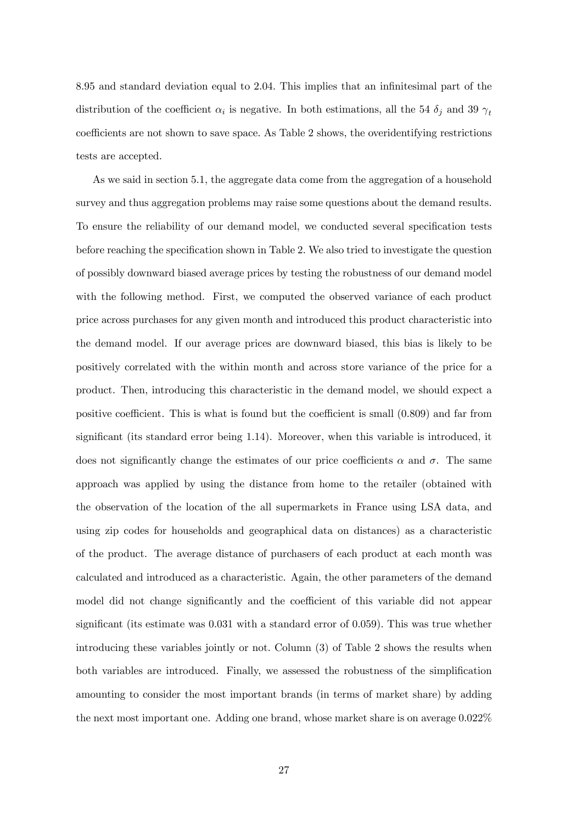8.95 and standard deviation equal to 2.04. This implies that an infinitesimal part of the distribution of the coefficient  $\alpha_i$  is negative. In both estimations, all the 54  $\delta_j$  and 39  $\gamma_t$ coefficients are not shown to save space. As Table 2 shows, the overidentifying restrictions tests are accepted.

As we said in section 5.1, the aggregate data come from the aggregation of a household survey and thus aggregation problems may raise some questions about the demand results. To ensure the reliability of our demand model, we conducted several specification tests before reaching the specification shown in Table 2. We also tried to investigate the question of possibly downward biased average prices by testing the robustness of our demand model with the following method. First, we computed the observed variance of each product price across purchases for any given month and introduced this product characteristic into the demand model. If our average prices are downward biased, this bias is likely to be positively correlated with the within month and across store variance of the price for a product. Then, introducing this characteristic in the demand model, we should expect a positive coefficient. This is what is found but the coefficient is small (0.809) and far from significant (its standard error being 1.14). Moreover, when this variable is introduced, it does not significantly change the estimates of our price coefficients  $\alpha$  and  $\sigma$ . The same approach was applied by using the distance from home to the retailer (obtained with the observation of the location of the all supermarkets in France using LSA data, and using zip codes for households and geographical data on distances) as a characteristic of the product. The average distance of purchasers of each product at each month was calculated and introduced as a characteristic. Again, the other parameters of the demand model did not change significantly and the coefficient of this variable did not appear significant (its estimate was 0.031 with a standard error of 0.059). This was true whether introducing these variables jointly or not. Column (3) of Table 2 shows the results when both variables are introduced. Finally, we assessed the robustness of the simplification amounting to consider the most important brands (in terms of market share) by adding the next most important one. Adding one brand, whose market share is on average 0.022%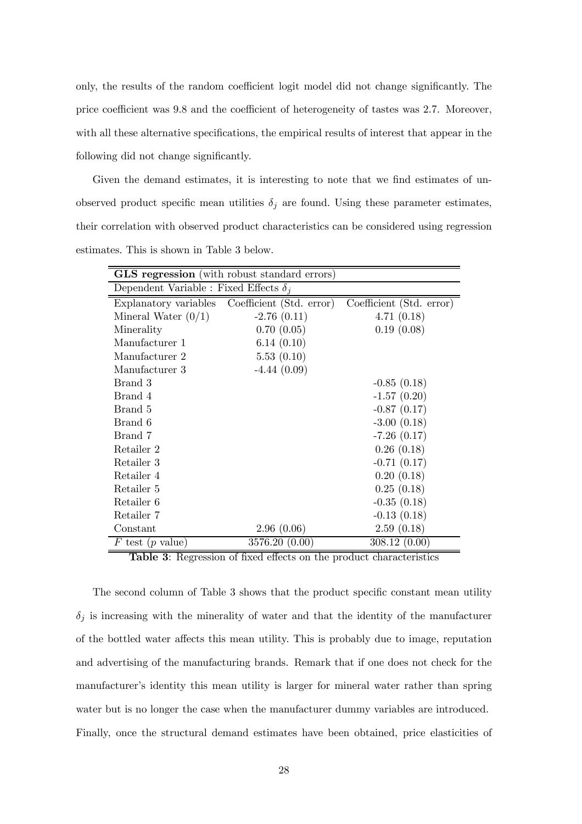only, the results of the random coefficient logit model did not change significantly. The price coefficient was 9.8 and the coefficient of heterogeneity of tastes was 2.7. Moreover, with all these alternative specifications, the empirical results of interest that appear in the following did not change significantly.

Given the demand estimates, it is interesting to note that we find estimates of unobserved product specific mean utilities  $\delta_j$  are found. Using these parameter estimates, their correlation with observed product characteristics can be considered using regression estimates. This is shown in Table 3 below.

| <b>GLS</b> regression (with robust standard errors) |                                                |                          |  |  |  |  |  |  |  |  |
|-----------------------------------------------------|------------------------------------------------|--------------------------|--|--|--|--|--|--|--|--|
| Dependent Variable : Fixed Effects $\delta_i$       |                                                |                          |  |  |  |  |  |  |  |  |
|                                                     | Explanatory variables Coefficient (Std. error) | Coefficient (Std. error) |  |  |  |  |  |  |  |  |
| Mineral Water $(0/1)$                               | $-2.76(0.11)$                                  | 4.71(0.18)               |  |  |  |  |  |  |  |  |
| Minerality                                          | 0.70(0.05)                                     | 0.19(0.08)               |  |  |  |  |  |  |  |  |
| Manufacturer 1                                      | 6.14(0.10)                                     |                          |  |  |  |  |  |  |  |  |
| Manufacturer 2                                      | 5.53(0.10)                                     |                          |  |  |  |  |  |  |  |  |
| Manufacturer 3                                      | $-4.44(0.09)$                                  |                          |  |  |  |  |  |  |  |  |
| Brand 3                                             |                                                | $-0.85(0.18)$            |  |  |  |  |  |  |  |  |
| Brand 4                                             |                                                | $-1.57(0.20)$            |  |  |  |  |  |  |  |  |
| Brand 5                                             |                                                | $-0.87(0.17)$            |  |  |  |  |  |  |  |  |
| Brand 6                                             |                                                | $-3.00(0.18)$            |  |  |  |  |  |  |  |  |
| Brand 7                                             |                                                | $-7.26(0.17)$            |  |  |  |  |  |  |  |  |
| Retailer 2                                          |                                                | 0.26(0.18)               |  |  |  |  |  |  |  |  |
| Retailer 3                                          |                                                | $-0.71(0.17)$            |  |  |  |  |  |  |  |  |
| Retailer 4                                          |                                                | 0.20(0.18)               |  |  |  |  |  |  |  |  |
| Retailer 5                                          |                                                | 0.25(0.18)               |  |  |  |  |  |  |  |  |
| Retailer 6                                          |                                                | $-0.35(0.18)$            |  |  |  |  |  |  |  |  |
| Retailer 7                                          |                                                | $-0.13(0.18)$            |  |  |  |  |  |  |  |  |
| Constant                                            | 2.96(0.06)                                     | 2.59(0.18)               |  |  |  |  |  |  |  |  |
| F test (p value)                                    | 3576.20 (0.00)                                 | 308.12(0.00)             |  |  |  |  |  |  |  |  |

Table 3: Regression of fixed effects on the product characteristics

The second column of Table 3 shows that the product specific constant mean utility  $\delta_j$  is increasing with the minerality of water and that the identity of the manufacturer of the bottled water affects this mean utility. This is probably due to image, reputation and advertising of the manufacturing brands. Remark that if one does not check for the manufacturer's identity this mean utility is larger for mineral water rather than spring water but is no longer the case when the manufacturer dummy variables are introduced. Finally, once the structural demand estimates have been obtained, price elasticities of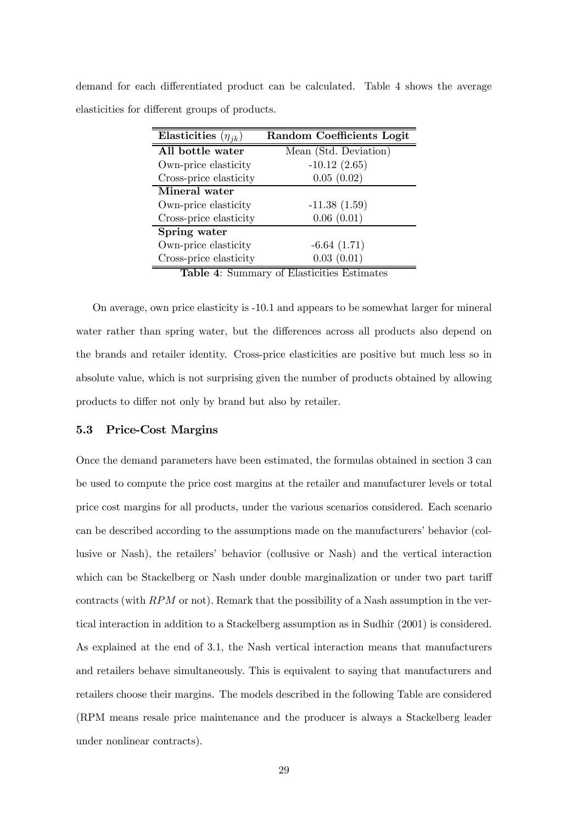demand for each differentiated product can be calculated. Table 4 shows the average elasticities for different groups of products.

| Elasticities $(\eta_{jk})$ | Random Coefficients Logit                  |
|----------------------------|--------------------------------------------|
| All bottle water           | Mean (Std. Deviation)                      |
| Own-price elasticity       | $-10.12(2.65)$                             |
| Cross-price elasticity     | 0.05(0.02)                                 |
| Mineral water              |                                            |
| Own-price elasticity       | $-11.38(1.59)$                             |
| Cross-price elasticity     | 0.06(0.01)                                 |
| Spring water               |                                            |
| Own-price elasticity       | $-6.64(1.71)$                              |
| Cross-price elasticity     | 0.03(0.01)                                 |
|                            | Table 4: Summary of Elasticities Estimates |

On average, own price elasticity is -10.1 and appears to be somewhat larger for mineral water rather than spring water, but the differences across all products also depend on the brands and retailer identity. Cross-price elasticities are positive but much less so in absolute value, which is not surprising given the number of products obtained by allowing products to differ not only by brand but also by retailer.

#### 5.3 Price-Cost Margins

Once the demand parameters have been estimated, the formulas obtained in section 3 can be used to compute the price cost margins at the retailer and manufacturer levels or total price cost margins for all products, under the various scenarios considered. Each scenario can be described according to the assumptions made on the manufacturers' behavior (collusive or Nash), the retailers' behavior (collusive or Nash) and the vertical interaction which can be Stackelberg or Nash under double marginalization or under two part tariff contracts (with  $RPM$  or not). Remark that the possibility of a Nash assumption in the vertical interaction in addition to a Stackelberg assumption as in Sudhir (2001) is considered. As explained at the end of 3.1, the Nash vertical interaction means that manufacturers and retailers behave simultaneously. This is equivalent to saying that manufacturers and retailers choose their margins. The models described in the following Table are considered (RPM means resale price maintenance and the producer is always a Stackelberg leader under nonlinear contracts).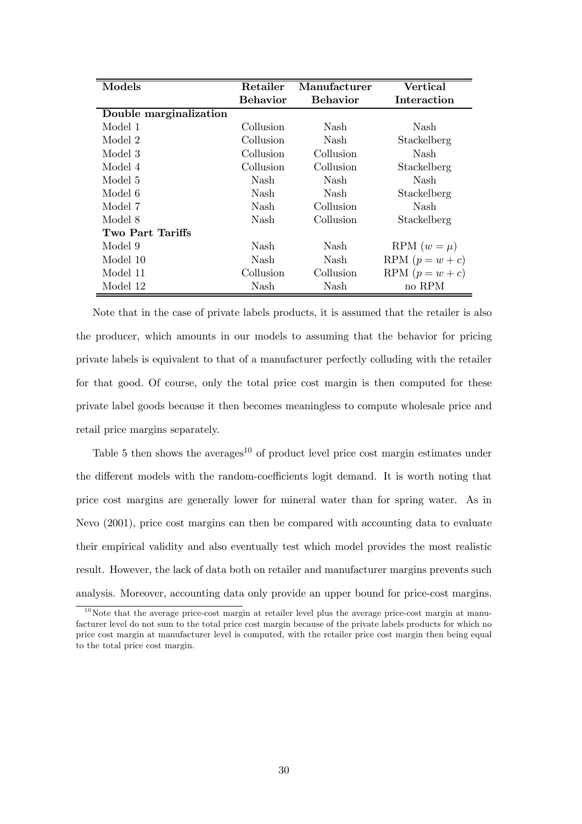| Models                 | Retailer        | Manufacturer    | <b>Vertical</b>   |
|------------------------|-----------------|-----------------|-------------------|
|                        | <b>Behavior</b> | <b>Behavior</b> | Interaction       |
| Double marginalization |                 |                 |                   |
| Model 1                | Collusion       | Nash            | Nash              |
| Model 2                | Collusion       | Nash            | Stackelberg       |
| Model 3                | Collusion       | Collusion       | Nash              |
| Model 4                | Collusion       | Collusion       | Stackelberg       |
| Model 5                | Nash            | Nash            | Nash              |
| Model 6                | Nash            | Nash            | Stackelberg       |
| Model 7                | Nash            | Collusion       | Nash              |
| Model 8                | Nash            | Collusion       | Stackelberg       |
| Two Part Tariffs       |                 |                 |                   |
| Model 9                | Nash            | Nash            | RPM $(w = \mu)$   |
| Model 10               | Nash            | Nash            | RPM $(p = w + c)$ |
| Model 11               | Collusion       | Collusion       | RPM $(p = w + c)$ |
| Model 12               | Nash            | Nash            | no RPM            |

Note that in the case of private labels products, it is assumed that the retailer is also the producer, which amounts in our models to assuming that the behavior for pricing private labels is equivalent to that of a manufacturer perfectly colluding with the retailer for that good. Of course, only the total price cost margin is then computed for these private label goods because it then becomes meaningless to compute wholesale price and retail price margins separately.

Table 5 then shows the averages $10$  of product level price cost margin estimates under the different models with the random-coefficients logit demand. It is worth noting that price cost margins are generally lower for mineral water than for spring water. As in Nevo (2001), price cost margins can then be compared with accounting data to evaluate their empirical validity and also eventually test which model provides the most realistic result. However, the lack of data both on retailer and manufacturer margins prevents such analysis. Moreover, accounting data only provide an upper bound for price-cost margins.

 $10<sup>10</sup>$  Note that the average price-cost margin at retailer level plus the average price-cost margin at manufacturer level do not sum to the total price cost margin because of the private labels products for which no price cost margin at manufacturer level is computed, with the retailer price cost margin then being equal to the total price cost margin.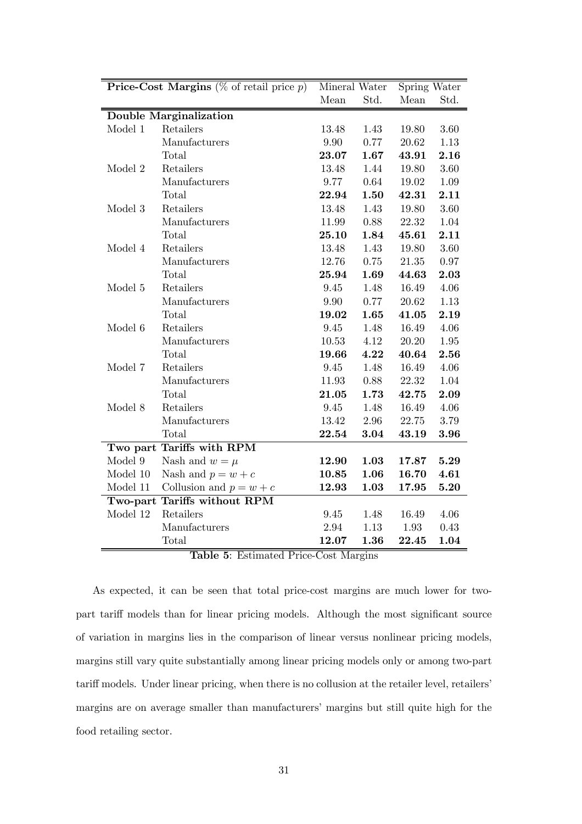|          | <b>Price-Cost Margins</b> ( $\%$ of retail price p)                                                                         | Mineral Water                                         |      | Spring Water |          |
|----------|-----------------------------------------------------------------------------------------------------------------------------|-------------------------------------------------------|------|--------------|----------|
|          |                                                                                                                             | Mean                                                  | Std. | Mean         | Std.     |
|          | <b>Double Marginalization</b>                                                                                               |                                                       |      |              |          |
| Model 1  | Retailers                                                                                                                   | 13.48                                                 | 1.43 | 19.80        | 3.60     |
|          | Manufacturers                                                                                                               | 9.90                                                  | 0.77 | 20.62        | 1.13     |
|          | Total                                                                                                                       | 23.07                                                 | 1.67 | 43.91        | 2.16     |
| Model 2  | Retailers                                                                                                                   | $13.48\,$                                             | 1.44 | 19.80        | $3.60\,$ |
|          | Manufacturers                                                                                                               | 9.77                                                  | 0.64 | 19.02        | $1.09\,$ |
|          | Total                                                                                                                       | 22.94                                                 | 1.50 | 42.31        | 2.11     |
| Model 3  | Retailers                                                                                                                   | 13.48                                                 | 1.43 | 19.80        | 3.60     |
|          | Manufacturers                                                                                                               | 11.99                                                 | 0.88 | 22.32        | 1.04     |
|          | Total                                                                                                                       | 25.10                                                 | 1.84 | 45.61        | 2.11     |
| Model 4  | Retailers                                                                                                                   | 13.48                                                 | 1.43 | 19.80        | 3.60     |
|          | Manufacturers                                                                                                               | 12.76                                                 | 0.75 | 21.35        | 0.97     |
|          | Total                                                                                                                       | 25.94                                                 | 1.69 | 44.63        | 2.03     |
| Model 5  | Retailers                                                                                                                   | 9.45                                                  | 1.48 | 16.49        | 4.06     |
|          | Manufacturers                                                                                                               | 9.90                                                  | 0.77 | 20.62        | $1.13\,$ |
|          | Total                                                                                                                       | 19.02                                                 | 1.65 | 41.05        | 2.19     |
| Model 6  | Retailers                                                                                                                   | $9.45\,$                                              | 1.48 | 16.49        | 4.06     |
|          | Manufacturers                                                                                                               | 10.53                                                 | 4.12 | 20.20        | 1.95     |
|          | Total                                                                                                                       | 19.66                                                 | 4.22 | 40.64        | 2.56     |
| Model 7  | Retailers                                                                                                                   | 9.45                                                  | 1.48 | 16.49        | 4.06     |
|          | Manufacturers                                                                                                               | 11.93                                                 | 0.88 | 22.32        | 1.04     |
|          | Total                                                                                                                       | 21.05                                                 | 1.73 | 42.75        | 2.09     |
| Model 8  | Retailers                                                                                                                   | 9.45                                                  | 1.48 | 16.49        | 4.06     |
|          | Manufacturers                                                                                                               | 13.42                                                 | 2.96 | 22.75        | 3.79     |
|          | Total                                                                                                                       | 22.54                                                 | 3.04 | 43.19        | 3.96     |
|          | Two part Tariffs with RPM                                                                                                   |                                                       |      |              |          |
| Model 9  | Nash and $w = \mu$                                                                                                          | 12.90                                                 | 1.03 | 17.87        | 5.29     |
| Model 10 | Nash and $p = w + c$                                                                                                        | 10.85                                                 | 1.06 | 16.70        | 4.61     |
| Model 11 | Collusion and $p = w + c$                                                                                                   | 12.93                                                 | 1.03 | 17.95        | 5.20     |
|          | Two-part Tariffs without RPM                                                                                                |                                                       |      |              |          |
| Model 12 | Retailers                                                                                                                   | 9.45                                                  | 1.48 | 16.49        | 4.06     |
|          | Manufacturers                                                                                                               | 2.94                                                  | 1.13 | 1.93         | 0.43     |
|          | Total<br>$\overline{\textbf{T}_a\textbf{b}}$ $\textbf{b}_a$ $\textbf{c}_b$ $\overline{\textbf{T}_a\textbf{b}}$<br>$J$ Daiss | 12.07<br>$\overline{C_{\alpha\alpha}$ M <sub>on</sub> | 1.36 | 22.45        | 1.04     |

Table 5: Estimated Price-Cost Margins

As expected, it can be seen that total price-cost margins are much lower for twopart tariff models than for linear pricing models. Although the most significant source of variation in margins lies in the comparison of linear versus nonlinear pricing models, margins still vary quite substantially among linear pricing models only or among two-part tariff models. Under linear pricing, when there is no collusion at the retailer level, retailers' margins are on average smaller than manufacturers' margins but still quite high for the food retailing sector.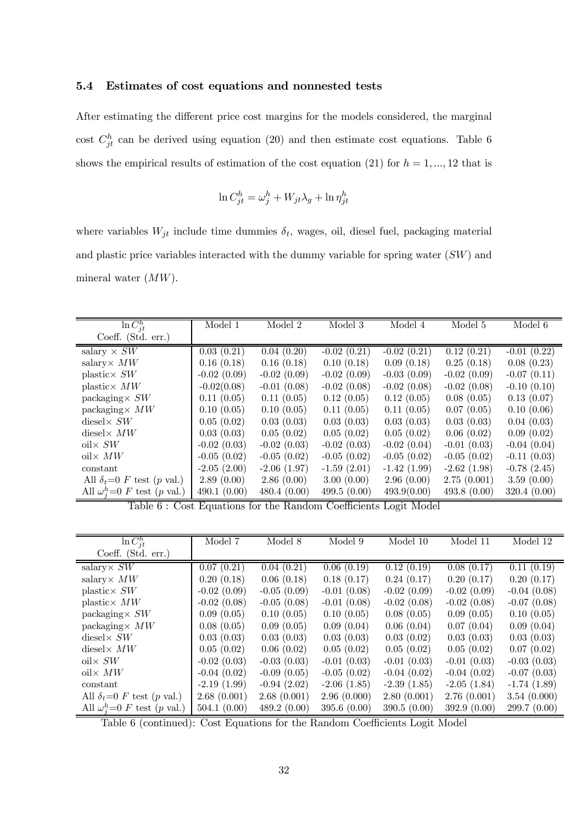### 5.4 Estimates of cost equations and nonnested tests

After estimating the different price cost margins for the models considered, the marginal cost  $C_{jt}^h$  can be derived using equation (20) and then estimate cost equations. Table 6 shows the empirical results of estimation of the cost equation (21) for  $h = 1, ..., 12$  that is

$$
\ln C_{jt}^h = \omega_j^h + W_{jt}\lambda_g + \ln \eta_{jt}^h
$$

where variables  $W_{jt}$  include time dummies  $\delta_t$ , wages, oil, diesel fuel, packaging material and plastic price variables interacted with the dummy variable for spring water (SW) and mineral water (MW).

| $\ln C_{it}^h$                                                    | Model 1                       | Model 2                                               | Model 3                             | Model 4                         | Model 5       | Model 6       |
|-------------------------------------------------------------------|-------------------------------|-------------------------------------------------------|-------------------------------------|---------------------------------|---------------|---------------|
| Coeff. $(Std. err.)$                                              |                               |                                                       |                                     |                                 |               |               |
| salary $\times$ SW                                                | 0.03(0.21)                    | 0.04(0.20)                                            | $-0.02(0.21)$                       | $-0.02(0.21)$                   | 0.12(0.21)    | $-0.01(0.22)$ |
| salary $\times MW$                                                | 0.16(0.18)                    | 0.16(0.18)                                            | 0.10(0.18)                          | 0.09(0.18)                      | 0.25(0.18)    | 0.08(0.23)    |
| $plastic \times SW$                                               | $-0.02(0.09)$                 | $-0.02(0.09)$                                         | $-0.02(0.09)$                       | $-0.03(0.09)$                   | $-0.02(0.09)$ | $-0.07(0.11)$ |
| plastic $\times MW$                                               | $-0.02(0.08)$                 | $-0.01(0.08)$                                         | $-0.02(0.08)$                       | $-0.02(0.08)$                   | $-0.02(0.08)$ | $-0.10(0.10)$ |
| packaging $\times$ SW                                             | 0.11(0.05)                    | 0.11(0.05)                                            | 0.12(0.05)                          | 0.12(0.05)                      | 0.08(0.05)    | 0.13(0.07)    |
| packaging $\times MW$                                             | 0.10(0.05)                    | 0.10(0.05)                                            | 0.11(0.05)                          | 0.11(0.05)                      | 0.07(0.05)    | 0.10(0.06)    |
| diesel $\times$ SW                                                | 0.05(0.02)                    | 0.03(0.03)                                            | 0.03(0.03)                          | 0.03(0.03)                      | 0.03(0.03)    | 0.04(0.03)    |
| diesel $\times MW$                                                | 0.03(0.03)                    | 0.05(0.02)                                            | 0.05(0.02)                          | 0.05(0.02)                      | 0.06(0.02)    | 0.09(0.02)    |
| $\mathrm{oil} \times SW$                                          | $-0.02(0.03)$                 | $-0.02(0.03)$                                         | $-0.02(0.03)$                       | $-0.02(0.04)$                   | $-0.01(0.03)$ | $-0.04(0.04)$ |
| $\chi$ MW                                                         | $-0.05(0.02)$                 | $-0.05(0.02)$                                         | $-0.05(0.02)$                       | $-0.05(0.02)$                   | $-0.05(0.02)$ | $-0.11(0.03)$ |
| constant                                                          | $-2.05(2.00)$                 | $-2.06(1.97)$                                         | $-1.59(2.01)$                       | $-1.42(1.99)$                   | $-2.62(1.98)$ | $-0.78(2.45)$ |
| All $\delta_t=0$ F test (p val.)                                  | 2.89(0.00)                    | 2.86(0.00)                                            | 3.00(0.00)                          | 2.96(0.00)                      | 2.75(0.001)   | 3.59(0.00)    |
| All $\omega_i^h$ =0 F test (p val.)<br>$\mathbf{m}$ is a $\alpha$ | 490.1(0.00)<br>$\blacksquare$ | 480.4(0.00)<br>$\mathbf{r}$ $\mathbf{r}$ $\mathbf{r}$ | 499.5(0.00)<br>$\sim$ $\sim$ $\sim$ | 493.9(0.00)<br><b>T . AF 11</b> | 493.8(0.00)   | 320.4(0.00)   |

Table 6 : Cost Equations for the Random Coefficients Logit Model

| $\ln C_{it}^h$                      | Model 7       | Model 8       | Model 9       | Model 10      | Model 11      | Model 12      |
|-------------------------------------|---------------|---------------|---------------|---------------|---------------|---------------|
| Coeff. $(Std. err.)$                |               |               |               |               |               |               |
| salary $\times$ SW                  | 0.07(0.21)    | 0.04(0.21)    | 0.06(0.19)    | 0.12(0.19)    | 0.08(0.17)    | 0.11(0.19)    |
| salary $\times MW$                  | 0.20(0.18)    | 0.06(0.18)    | 0.18(0.17)    | 0.24(0.17)    | 0.20(0.17)    | 0.20(0.17)    |
| $plastic \times SW$                 | $-0.02(0.09)$ | $-0.05(0.09)$ | $-0.01(0.08)$ | $-0.02(0.09)$ | $-0.02(0.09)$ | $-0.04(0.08)$ |
| plastic $\times MW$                 | $-0.02(0.08)$ | $-0.05(0.08)$ | $-0.01(0.08)$ | $-0.02(0.08)$ | $-0.02(0.08)$ | $-0.07(0.08)$ |
| packaging $\times$ SW               | 0.09(0.05)    | 0.10(0.05)    | 0.10(0.05)    | 0.08(0.05)    | 0.09(0.05)    | 0.10(0.05)    |
| packaging $\times MW$               | 0.08(0.05)    | 0.09(0.05)    | 0.09(0.04)    | 0.06(0.04)    | 0.07(0.04)    | 0.09(0.04)    |
| diesel $\times$ SW                  | 0.03(0.03)    | 0.03(0.03)    | 0.03(0.03)    | 0.03(0.02)    | 0.03(0.03)    | 0.03(0.03)    |
| diesel $\times MW$                  | 0.05(0.02)    | 0.06(0.02)    | 0.05(0.02)    | 0.05(0.02)    | 0.05(0.02)    | 0.07(0.02)    |
| oil $\times$ SW                     | $-0.02(0.03)$ | $-0.03(0.03)$ | $-0.01(0.03)$ | $-0.01(0.03)$ | $-0.01(0.03)$ | $-0.03(0.03)$ |
| oil $\times MW$                     | $-0.04(0.02)$ | $-0.09(0.05)$ | $-0.05(0.02)$ | $-0.04(0.02)$ | $-0.04(0.02)$ | $-0.07(0.03)$ |
| constant                            | $-2.19(1.99)$ | $-0.94(2.02)$ | $-2.06(1.85)$ | $-2.39(1.85)$ | $-2.05(1.84)$ | $-1.74(1.89)$ |
| All $\delta_t=0$ F test (p val.)    | 2.68(0.001)   | 2.68(0.001)   | 2.96(0.000)   | 2.80(0.001)   | 2.76(0.001)   | 3.54(0.000)   |
| All $\omega_i^h$ =0 F test (p val.) | 504.1(0.00)   | 489.2(0.00)   | 395.6(0.00)   | 390.5(0.00)   | 392.9(0.00)   | 299.7(0.00)   |

Table 6 (continued): Cost Equations for the Random Coefficients Logit Model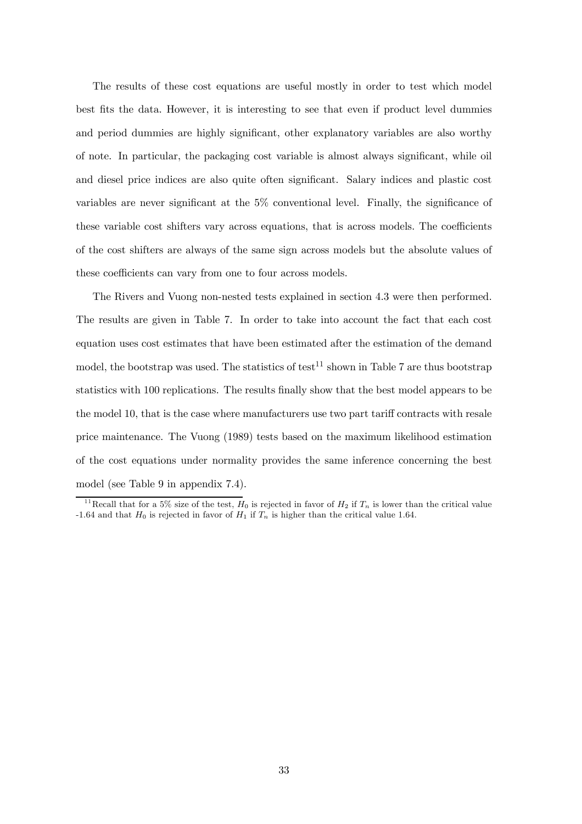The results of these cost equations are useful mostly in order to test which model best fits the data. However, it is interesting to see that even if product level dummies and period dummies are highly significant, other explanatory variables are also worthy of note. In particular, the packaging cost variable is almost always significant, while oil and diesel price indices are also quite often significant. Salary indices and plastic cost variables are never significant at the 5% conventional level. Finally, the significance of these variable cost shifters vary across equations, that is across models. The coefficients of the cost shifters are always of the same sign across models but the absolute values of these coefficients can vary from one to four across models.

The Rivers and Vuong non-nested tests explained in section 4.3 were then performed. The results are given in Table 7. In order to take into account the fact that each cost equation uses cost estimates that have been estimated after the estimation of the demand model, the bootstrap was used. The statistics of test<sup>11</sup> shown in Table 7 are thus bootstrap statistics with 100 replications. The results finally show that the best model appears to be the model 10, that is the case where manufacturers use two part tariff contracts with resale price maintenance. The Vuong (1989) tests based on the maximum likelihood estimation of the cost equations under normality provides the same inference concerning the best model (see Table 9 in appendix 7.4).

<sup>&</sup>lt;sup>11</sup> Recall that for a 5% size of the test,  $H_0$  is rejected in favor of  $H_2$  if  $T_n$  is lower than the critical value -1.64 and that  $H_0$  is rejected in favor of  $H_1$  if  $T_n$  is higher than the critical value 1.64.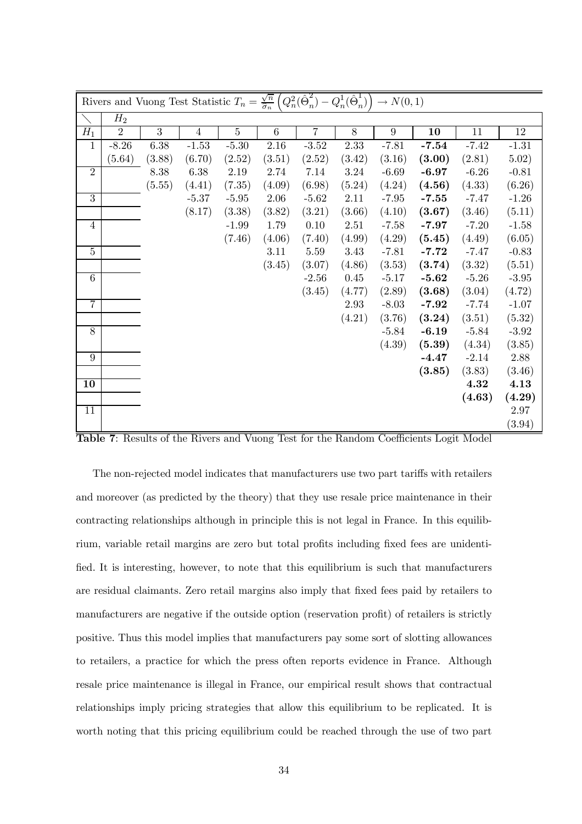| Rivers and Vuong Test Statistic $T_n = \frac{\sqrt{n}}{\hat{\sigma}_n} \left( Q_n^2 (\hat{\Theta}_n^2) - Q_n^1 (\hat{\Theta}_n^1) \right) \to N(0,1)$ |                |        |                |                |          |                |          |                 |         |         |         |
|-------------------------------------------------------------------------------------------------------------------------------------------------------|----------------|--------|----------------|----------------|----------|----------------|----------|-----------------|---------|---------|---------|
|                                                                                                                                                       | $H_2$          |        |                |                |          |                |          |                 |         |         |         |
| $H_1$                                                                                                                                                 | $\overline{2}$ | 3      | $\overline{4}$ | $\overline{5}$ | $\,6\,$  | $\overline{7}$ | 8        | $9\phantom{.0}$ | 10      | 11      | $12\,$  |
| $\mathbf{1}$                                                                                                                                          | $-8.26$        | 6.38   | $-1.53$        | $-5.30$        | $2.16\,$ | $-3.52$        | 2.33     | $-7.81$         | $-7.54$ | $-7.42$ | $-1.31$ |
|                                                                                                                                                       | (5.64)         | (3.88) | (6.70)         | (2.52)         | (3.51)   | (2.52)         | (3.42)   | (3.16)          | (3.00)  | (2.81)  | 5.02)   |
| $\overline{2}$                                                                                                                                        |                | 8.38   | 6.38           | 2.19           | 2.74     | 7.14           | 3.24     | $-6.69$         | $-6.97$ | $-6.26$ | $-0.81$ |
|                                                                                                                                                       |                | (5.55) | (4.41)         | (7.35)         | (4.09)   | (6.98)         | (5.24)   | (4.24)          | (4.56)  | (4.33)  | (6.26)  |
| $\overline{3}$                                                                                                                                        |                |        | $-5.37$        | $-5.95$        | 2.06     | $-5.62$        | 2.11     | $-7.95$         | $-7.55$ | $-7.47$ | $-1.26$ |
|                                                                                                                                                       |                |        | (8.17)         | (3.38)         | (3.82)   | (3.21)         | (3.66)   | (4.10)          | (3.67)  | (3.46)  | (5.11)  |
| $\overline{4}$                                                                                                                                        |                |        |                | $-1.99$        | 1.79     | 0.10           | $2.51\,$ | $-7.58$         | $-7.97$ | $-7.20$ | $-1.58$ |
|                                                                                                                                                       |                |        |                | (7.46)         | (4.06)   | (7.40)         | (4.99)   | (4.29)          | (5.45)  | (4.49)  | (6.05)  |
| $\overline{5}$                                                                                                                                        |                |        |                |                | 3.11     | $5.59\,$       | $3.43\,$ | $-7.81$         | $-7.72$ | $-7.47$ | $-0.83$ |
|                                                                                                                                                       |                |        |                |                | (3.45)   | (3.07)         | (4.86)   | (3.53)          | (3.74)  | (3.32)  | (5.51)  |
| $\overline{6}$                                                                                                                                        |                |        |                |                |          | $-2.56$        | 0.45     | $-5.17$         | $-5.62$ | $-5.26$ | $-3.95$ |
|                                                                                                                                                       |                |        |                |                |          | (3.45)         | (4.77)   | (2.89)          | (3.68)  | (3.04)  | (4.72)  |
| $\overline{7}$                                                                                                                                        |                |        |                |                |          |                | 2.93     | $-8.03$         | $-7.92$ | $-7.74$ | $-1.07$ |
|                                                                                                                                                       |                |        |                |                |          |                | (4.21)   | (3.76)          | (3.24)  | (3.51)  | (5.32)  |
| $\overline{8}$                                                                                                                                        |                |        |                |                |          |                |          | $-5.84$         | $-6.19$ | $-5.84$ | $-3.92$ |
|                                                                                                                                                       |                |        |                |                |          |                |          | (4.39)          | (5.39)  | (4.34)  | (3.85)  |
| $\overline{9}$                                                                                                                                        |                |        |                |                |          |                |          |                 | $-4.47$ | $-2.14$ | 2.88    |
|                                                                                                                                                       |                |        |                |                |          |                |          |                 | (3.85)  | (3.83)  | (3.46)  |
| 10                                                                                                                                                    |                |        |                |                |          |                |          |                 |         | 4.32    | 4.13    |
|                                                                                                                                                       |                |        |                |                |          |                |          |                 |         | (4.63)  | (4.29)  |
| 11                                                                                                                                                    |                |        |                |                |          |                |          |                 |         |         | 2.97    |
|                                                                                                                                                       |                |        |                |                |          |                |          |                 |         |         | (3.94)  |

Table 7: Results of the Rivers and Vuong Test for the Random Coefficients Logit Model

The non-rejected model indicates that manufacturers use two part tariffs with retailers and moreover (as predicted by the theory) that they use resale price maintenance in their contracting relationships although in principle this is not legal in France. In this equilibrium, variable retail margins are zero but total profits including fixed fees are unidentified. It is interesting, however, to note that this equilibrium is such that manufacturers are residual claimants. Zero retail margins also imply that fixed fees paid by retailers to manufacturers are negative if the outside option (reservation profit) of retailers is strictly positive. Thus this model implies that manufacturers pay some sort of slotting allowances to retailers, a practice for which the press often reports evidence in France. Although resale price maintenance is illegal in France, our empirical result shows that contractual relationships imply pricing strategies that allow this equilibrium to be replicated. It is worth noting that this pricing equilibrium could be reached through the use of two part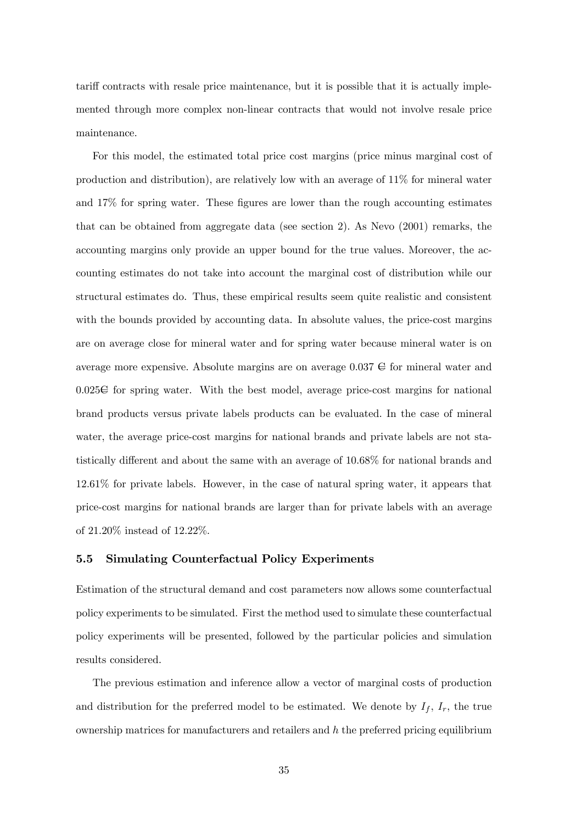tariff contracts with resale price maintenance, but it is possible that it is actually implemented through more complex non-linear contracts that would not involve resale price maintenance.

For this model, the estimated total price cost margins (price minus marginal cost of production and distribution), are relatively low with an average of 11% for mineral water and 17% for spring water. These figures are lower than the rough accounting estimates that can be obtained from aggregate data (see section 2). As Nevo (2001) remarks, the accounting margins only provide an upper bound for the true values. Moreover, the accounting estimates do not take into account the marginal cost of distribution while our structural estimates do. Thus, these empirical results seem quite realistic and consistent with the bounds provided by accounting data. In absolute values, the price-cost margins are on average close for mineral water and for spring water because mineral water is on average more expensive. Absolute margins are on average  $0.037 \oplus 0.037$  for mineral water and  $0.025\in$  for spring water. With the best model, average price-cost margins for national brand products versus private labels products can be evaluated. In the case of mineral water, the average price-cost margins for national brands and private labels are not statistically different and about the same with an average of 10.68% for national brands and 12.61% for private labels. However, in the case of natural spring water, it appears that price-cost margins for national brands are larger than for private labels with an average of 21.20% instead of 12.22%.

### 5.5 Simulating Counterfactual Policy Experiments

Estimation of the structural demand and cost parameters now allows some counterfactual policy experiments to be simulated. First the method used to simulate these counterfactual policy experiments will be presented, followed by the particular policies and simulation results considered.

The previous estimation and inference allow a vector of marginal costs of production and distribution for the preferred model to be estimated. We denote by  $I_f$ ,  $I_r$ , the true ownership matrices for manufacturers and retailers and  $h$  the preferred pricing equilibrium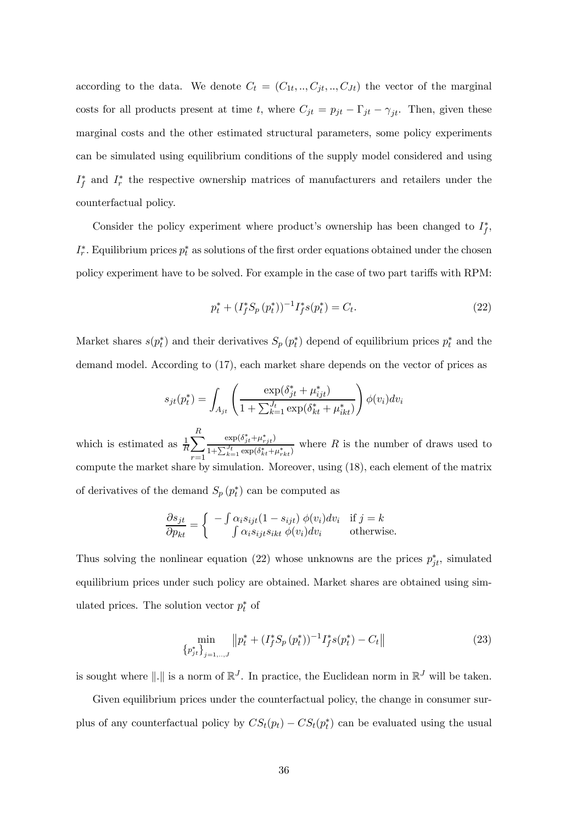according to the data. We denote  $C_t = (C_{1t}, ..., C_{jt}, ..., C_{Jt})$  the vector of the marginal costs for all products present at time t, where  $C_{jt} = p_{jt} - \Gamma_{jt} - \gamma_{jt}$ . Then, given these marginal costs and the other estimated structural parameters, some policy experiments can be simulated using equilibrium conditions of the supply model considered and using  $I_f^*$  and  $I_r^*$  the respective ownership matrices of manufacturers and retailers under the counterfactual policy.

Consider the policy experiment where product's ownership has been changed to  $I_f^*$ ,  $I_r^*$ . Equilibrium prices  $p_t^*$  as solutions of the first order equations obtained under the chosen policy experiment have to be solved. For example in the case of two part tariffs with RPM:

$$
p_t^* + (I_f^* S_p (p_t^*))^{-1} I_f^* s(p_t^*) = C_t.
$$
\n(22)

Market shares  $s(p_t^*)$  and their derivatives  $S_p(p_t^*)$  depend of equilibrium prices  $p_t^*$  and the demand model. According to (17), each market share depends on the vector of prices as

$$
s_{jt}(p_t^*) = \int_{A_{jt}} \left( \frac{\exp(\delta_{jt}^* + \mu_{ijt}^*)}{1 + \sum_{k=1}^{J_t} \exp(\delta_{kt}^* + \mu_{ikt}^*)} \right) \phi(v_i) dv_i
$$

which is estimated as  $\frac{1}{R} \sum_{n=1}^{R}$  $r=1$  $\exp(\delta_{jt}^*+\mu_{rjt}^*)$  $1+\sum_{k=1}^{J_t}\exp(\delta_{kt}^{*}+\mu_{rkt}^{*})$ where  $R$  is the number of draws used to compute the market share by simulation. Moreover, using (18), each element of the matrix of derivatives of the demand  $S_p(p_t^*)$  can be computed as

$$
\frac{\partial s_{jt}}{\partial p_{kt}} = \begin{cases}\n-\int \alpha_i s_{ijt} (1 - s_{ijt}) \phi(v_i) dv_i & \text{if } j = k \\
\int \alpha_i s_{ijt} s_{ikt} \phi(v_i) dv_i & \text{otherwise.} \n\end{cases}
$$

Thus solving the nonlinear equation (22) whose unknowns are the prices  $p_{jt}^*$ , simulated equilibrium prices under such policy are obtained. Market shares are obtained using simulated prices. The solution vector  $p_t^*$  of

$$
\min_{\{p_{jt}^*\}_{j=1,\dots,J}} ||p_t^* + (I_f^* S_p (p_t^*))^{-1} I_f^* s(p_t^*) - C_t|| \tag{23}
$$

is sought where  $\|.\|$  is a norm of  $\mathbb{R}^J$ . In practice, the Euclidean norm in  $\mathbb{R}^J$  will be taken.

Given equilibrium prices under the counterfactual policy, the change in consumer surplus of any counterfactual policy by  $CS_t(p_t) - CS_t(p_t^*)$  can be evaluated using the usual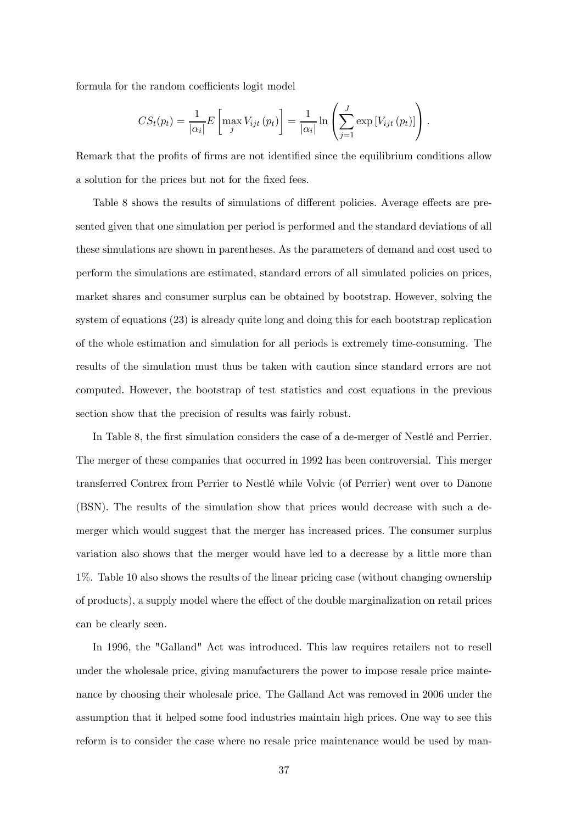formula for the random coefficients logit model

$$
CS_t(p_t) = \frac{1}{|\alpha_i|} E\left[\max_j V_{ijt}(p_t)\right] = \frac{1}{|\alpha_i|} \ln \left(\sum_{j=1}^J \exp\left[V_{ijt}(p_t)\right]\right).
$$

Remark that the profits of firms are not identified since the equilibrium conditions allow a solution for the prices but not for the fixed fees.

Table 8 shows the results of simulations of different policies. Average effects are presented given that one simulation per period is performed and the standard deviations of all these simulations are shown in parentheses. As the parameters of demand and cost used to perform the simulations are estimated, standard errors of all simulated policies on prices, market shares and consumer surplus can be obtained by bootstrap. However, solving the system of equations (23) is already quite long and doing this for each bootstrap replication of the whole estimation and simulation for all periods is extremely time-consuming. The results of the simulation must thus be taken with caution since standard errors are not computed. However, the bootstrap of test statistics and cost equations in the previous section show that the precision of results was fairly robust.

In Table 8, the first simulation considers the case of a de-merger of Nestlé and Perrier. The merger of these companies that occurred in 1992 has been controversial. This merger transferred Contrex from Perrier to Nestlé while Volvic (of Perrier) went over to Danone (BSN). The results of the simulation show that prices would decrease with such a demerger which would suggest that the merger has increased prices. The consumer surplus variation also shows that the merger would have led to a decrease by a little more than 1%. Table 10 also shows the results of the linear pricing case (without changing ownership of products), a supply model where the effect of the double marginalization on retail prices can be clearly seen.

In 1996, the "Galland" Act was introduced. This law requires retailers not to resell under the wholesale price, giving manufacturers the power to impose resale price maintenance by choosing their wholesale price. The Galland Act was removed in 2006 under the assumption that it helped some food industries maintain high prices. One way to see this reform is to consider the case where no resale price maintenance would be used by man-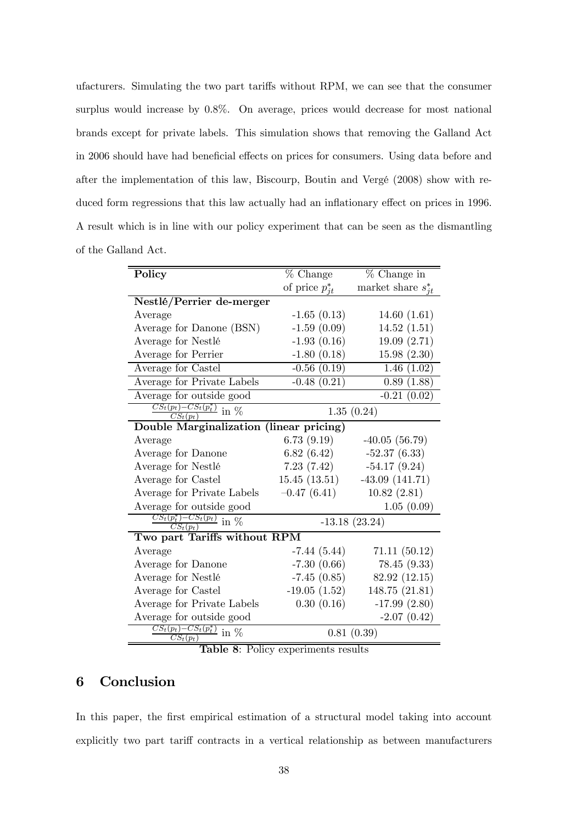ufacturers. Simulating the two part tariffs without RPM, we can see that the consumer surplus would increase by 0.8%. On average, prices would decrease for most national brands except for private labels. This simulation shows that removing the Galland Act in 2006 should have had beneficial effects on prices for consumers. Using data before and after the implementation of this law, Biscourp, Boutin and Vergé (2008) show with reduced form regressions that this law actually had an inflationary effect on prices in 1996. A result which is in line with our policy experiment that can be seen as the dismantling of the Galland Act.

| Policy                                                                  | % Change            | $%$ Change in           |
|-------------------------------------------------------------------------|---------------------|-------------------------|
|                                                                         | of price $p_{it}^*$ | market share $s_{it}^*$ |
| Nestlé/Perrier de-merger                                                |                     |                         |
| Average                                                                 | $-1.65(0.13)$       | 14.60(1.61)             |
| Average for Danone (BSN)                                                | $-1.59(0.09)$       | 14.52(1.51)             |
| Average for Nestlé                                                      | $-1.93(0.16)$       | 19.09(2.71)             |
| Average for Perrier                                                     | $-1.80(0.18)$       | 15.98(2.30)             |
| Average for Castel                                                      | $-0.56(0.19)$       | 1.46(1.02)              |
| Average for Private Labels                                              | $-0.48(0.21)$       | 0.89(1.88)              |
| Average for outside good                                                |                     | $-0.21(0.02)$           |
| $\frac{CS_t(p_t)-CS_t(p_t^*)}{\ln \varphi_0}$<br>$\overline{CS_t(p_t)}$ |                     | 1.35(0.24)              |
| Double Marginalization (linear pricing)                                 |                     |                         |
| Average                                                                 | 6.73(9.19)          | $-40.05(56.79)$         |
| Average for Danone                                                      | 6.82(6.42)          | $-52.37(6.33)$          |
| Average for Nestlé                                                      | 7.23(7.42)          | $-54.17(9.24)$          |
| Average for Castel                                                      | 15.45(13.51)        | $-43.09(141.71)$        |
| Average for Private Labels                                              | $-0.47(6.41)$       | 10.82(2.81)             |
| Average for outside good                                                |                     | 1.05(0.09)              |
| $\frac{CS_t(p_t^*)-CS_t(p_t)}{CS_t(p_t)}$ in $\%$                       |                     | $-13.18(23.24)$         |
| Two part Tariffs without RPM                                            |                     |                         |
| Average                                                                 | $-7.44(5.44)$       | 71.11(50.12)            |
| Average for Danone                                                      | $-7.30(0.66)$       | 78.45(9.33)             |
| Average for Nestlé                                                      | $-7.45(0.85)$       | 82.92 (12.15)           |
| Average for Castel                                                      | $-19.05(1.52)$      | 148.75 (21.81)          |
| Average for Private Labels                                              | 0.30(0.16)          | $-17.99(2.80)$          |
| Average for outside good                                                |                     | $-2.07(0.42)$           |
| $\frac{CS_t(p_t)-CS_t(p_t^*)}{\sqrt{S_t(p_t^*)}}$ in %<br>$CS_t(p_t)$   |                     | 0.81(0.39)              |

Table 8: Policy experiments results

## 6 Conclusion

In this paper, the first empirical estimation of a structural model taking into account explicitly two part tariff contracts in a vertical relationship as between manufacturers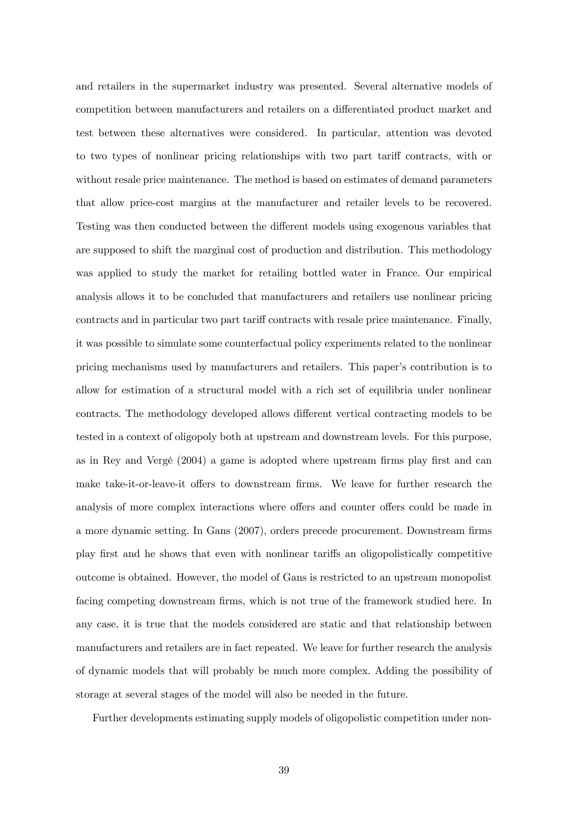and retailers in the supermarket industry was presented. Several alternative models of competition between manufacturers and retailers on a differentiated product market and test between these alternatives were considered. In particular, attention was devoted to two types of nonlinear pricing relationships with two part tariff contracts, with or without resale price maintenance. The method is based on estimates of demand parameters that allow price-cost margins at the manufacturer and retailer levels to be recovered. Testing was then conducted between the different models using exogenous variables that are supposed to shift the marginal cost of production and distribution. This methodology was applied to study the market for retailing bottled water in France. Our empirical analysis allows it to be concluded that manufacturers and retailers use nonlinear pricing contracts and in particular two part tariff contracts with resale price maintenance. Finally, it was possible to simulate some counterfactual policy experiments related to the nonlinear pricing mechanisms used by manufacturers and retailers. This paper's contribution is to allow for estimation of a structural model with a rich set of equilibria under nonlinear contracts. The methodology developed allows different vertical contracting models to be tested in a context of oligopoly both at upstream and downstream levels. For this purpose, as in Rey and Vergé (2004) a game is adopted where upstream firms play first and can make take-it-or-leave-it offers to downstream firms. We leave for further research the analysis of more complex interactions where offers and counter offers could be made in a more dynamic setting. In Gans (2007), orders precede procurement. Downstream firms play first and he shows that even with nonlinear tariffs an oligopolistically competitive outcome is obtained. However, the model of Gans is restricted to an upstream monopolist facing competing downstream firms, which is not true of the framework studied here. In any case, it is true that the models considered are static and that relationship between manufacturers and retailers are in fact repeated. We leave for further research the analysis of dynamic models that will probably be much more complex. Adding the possibility of storage at several stages of the model will also be needed in the future.

Further developments estimating supply models of oligopolistic competition under non-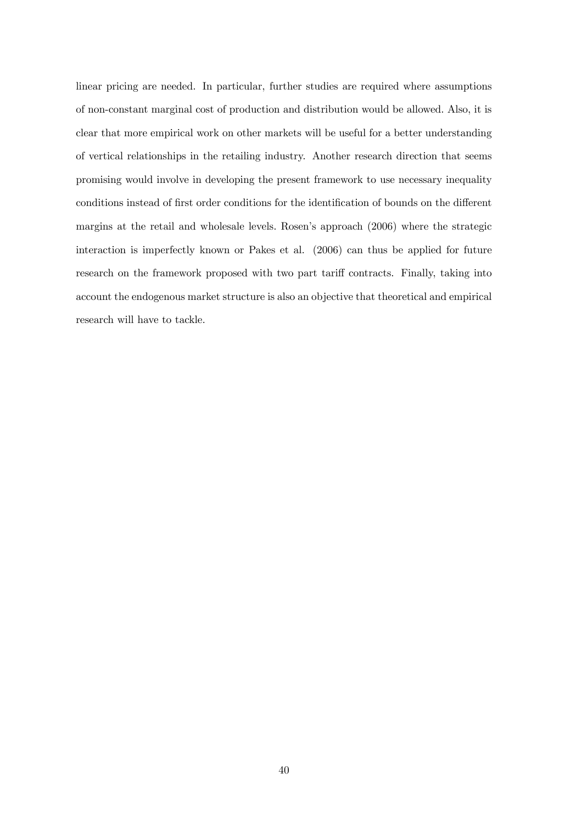linear pricing are needed. In particular, further studies are required where assumptions of non-constant marginal cost of production and distribution would be allowed. Also, it is clear that more empirical work on other markets will be useful for a better understanding of vertical relationships in the retailing industry. Another research direction that seems promising would involve in developing the present framework to use necessary inequality conditions instead of first order conditions for the identification of bounds on the different margins at the retail and wholesale levels. Rosen's approach (2006) where the strategic interaction is imperfectly known or Pakes et al. (2006) can thus be applied for future research on the framework proposed with two part tariff contracts. Finally, taking into account the endogenous market structure is also an objective that theoretical and empirical research will have to tackle.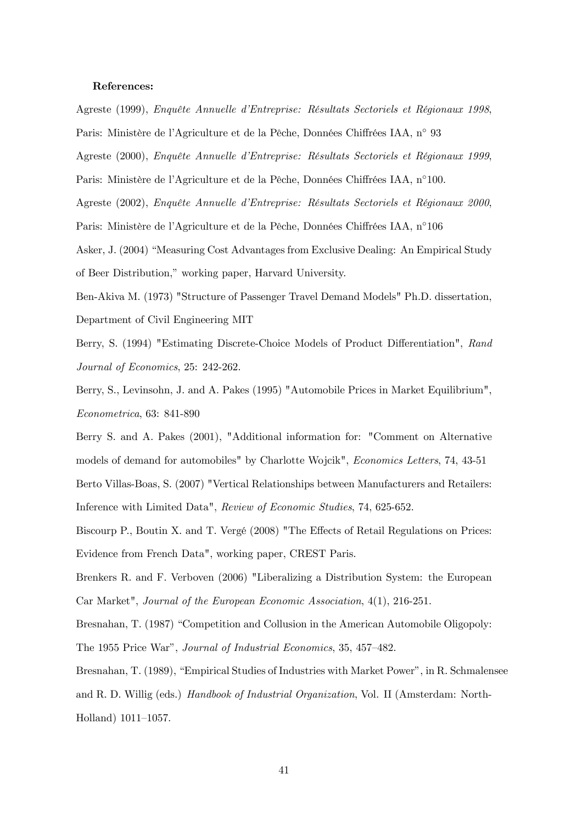### References:

Agreste (1999), Enquête Annuelle d'Entreprise: Résultats Sectoriels et Régionaux 1998,

Paris: Ministère de l'Agriculture et de la Pêche, Données Chiffrées IAA, n◦ 93

Agreste (2000), Enquête Annuelle d'Entreprise: Résultats Sectoriels et Régionaux 1999,

Paris: Ministère de l'Agriculture et de la Pêche, Données Chiffrées IAA, n◦100.

Agreste (2002), Enquête Annuelle d'Entreprise: Résultats Sectoriels et Régionaux 2000,

Paris: Ministère de l'Agriculture et de la Pêche, Données Chiffrées IAA, n◦106

Asker, J. (2004) "Measuring Cost Advantages from Exclusive Dealing: An Empirical Study of Beer Distribution," working paper, Harvard University.

Ben-Akiva M. (1973) "Structure of Passenger Travel Demand Models" Ph.D. dissertation, Department of Civil Engineering MIT

Berry, S. (1994) "Estimating Discrete-Choice Models of Product Differentiation", Rand Journal of Economics, 25: 242-262.

Berry, S., Levinsohn, J. and A. Pakes (1995) "Automobile Prices in Market Equilibrium", Econometrica, 63: 841-890

Berry S. and A. Pakes (2001), "Additional information for: "Comment on Alternative models of demand for automobiles" by Charlotte Wojcik", Economics Letters, 74, 43-51

Berto Villas-Boas, S. (2007) "Vertical Relationships between Manufacturers and Retailers: Inference with Limited Data", Review of Economic Studies, 74, 625-652.

Biscourp P., Boutin X. and T. Vergé (2008) "The Effects of Retail Regulations on Prices: Evidence from French Data", working paper, CREST Paris.

Brenkers R. and F. Verboven (2006) "Liberalizing a Distribution System: the European Car Market", Journal of the European Economic Association, 4(1), 216-251.

Bresnahan, T. (1987) "Competition and Collusion in the American Automobile Oligopoly:

The 1955 Price War", Journal of Industrial Economics, 35, 457—482.

Bresnahan, T. (1989), "Empirical Studies of Industries with Market Power", in R. Schmalensee and R. D. Willig (eds.) Handbook of Industrial Organization, Vol. II (Amsterdam: North-Holland) 1011—1057.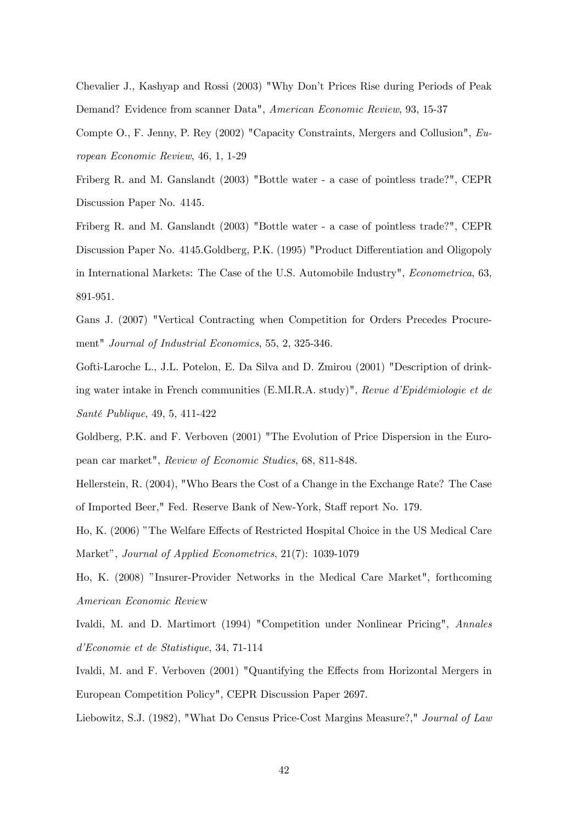Chevalier J., Kashyap and Rossi (2003) "Why Don't Prices Rise during Periods of Peak Demand? Evidence from scanner Data", American Economic Review, 93, 15-37

Compte O., F. Jenny, P. Rey (2002) "Capacity Constraints, Mergers and Collusion", European Economic Review, 46, 1, 1-29

Friberg R. and M. Ganslandt (2003) "Bottle water - a case of pointless trade?", CEPR Discussion Paper No. 4145.

Friberg R. and M. Ganslandt (2003) "Bottle water - a case of pointless trade?", CEPR Discussion Paper No. 4145.Goldberg, P.K. (1995) "Product Differentiation and Oligopoly in International Markets: The Case of the U.S. Automobile Industry", Econometrica, 63, 891-951.

Gans J. (2007) "Vertical Contracting when Competition for Orders Precedes Procurement" Journal of Industrial Economics, 55, 2, 325-346.

Gofti-Laroche L., J.L. Potelon, E. Da Silva and D. Zmirou (2001) "Description of drinking water intake in French communities (E.MI.R.A. study)", Revue d'Epidémiologie et de Santé Publique, 49, 5, 411-422

Goldberg, P.K. and F. Verboven (2001) "The Evolution of Price Dispersion in the European car market", Review of Economic Studies, 68, 811-848.

Hellerstein, R. (2004), "Who Bears the Cost of a Change in the Exchange Rate? The Case of Imported Beer," Fed. Reserve Bank of New-York, Staff report No. 179.

Ho, K. (2006) "The Welfare Effects of Restricted Hospital Choice in the US Medical Care Market", Journal of Applied Econometrics, 21(7): 1039-1079

Ho, K. (2008) "Insurer-Provider Networks in the Medical Care Market", forthcoming American Economic Review

Ivaldi, M. and D. Martimort (1994) "Competition under Nonlinear Pricing", Annales d'Economie et de Statistique, 34, 71-114

Ivaldi, M. and F. Verboven (2001) "Quantifying the Effects from Horizontal Mergers in European Competition Policy", CEPR Discussion Paper 2697.

Liebowitz, S.J. (1982), "What Do Census Price-Cost Margins Measure?," Journal of Law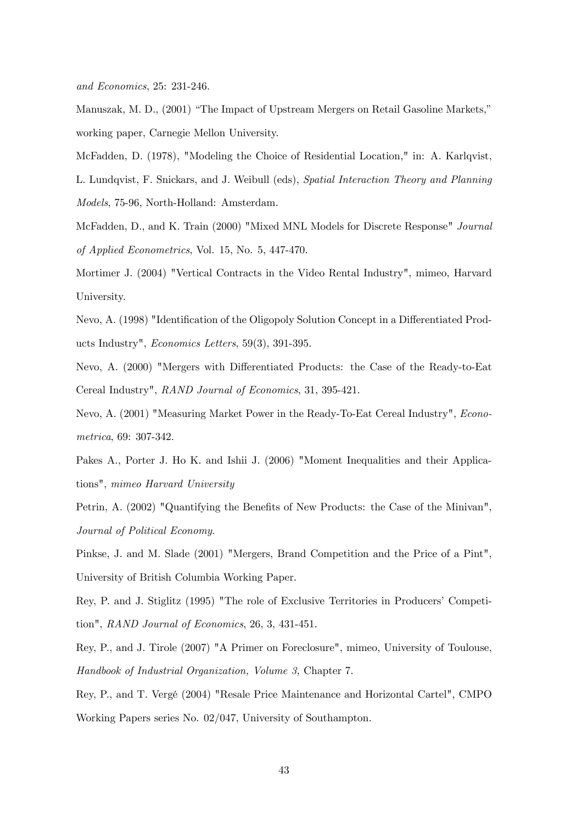and Economics, 25: 231-246.

Manuszak, M. D., (2001) "The Impact of Upstream Mergers on Retail Gasoline Markets," working paper, Carnegie Mellon University.

McFadden, D. (1978), "Modeling the Choice of Residential Location," in: A. Karlqvist,

L. Lundqvist, F. Snickars, and J. Weibull (eds), Spatial Interaction Theory and Planning Models, 75-96, North-Holland: Amsterdam.

McFadden, D., and K. Train (2000) "Mixed MNL Models for Discrete Response" Journal of Applied Econometrics, Vol. 15, No. 5, 447-470.

Mortimer J. (2004) "Vertical Contracts in the Video Rental Industry", mimeo, Harvard University.

Nevo, A. (1998) "Identification of the Oligopoly Solution Concept in a Differentiated Products Industry", Economics Letters, 59(3), 391-395.

Nevo, A. (2000) "Mergers with Differentiated Products: the Case of the Ready-to-Eat Cereal Industry", RAND Journal of Economics, 31, 395-421.

Nevo, A. (2001) "Measuring Market Power in the Ready-To-Eat Cereal Industry", Econometrica, 69: 307-342.

Pakes A., Porter J. Ho K. and Ishii J. (2006) "Moment Inequalities and their Applications", mimeo Harvard University

Petrin, A. (2002) "Quantifying the Benefits of New Products: the Case of the Minivan", Journal of Political Economy.

Pinkse, J. and M. Slade (2001) "Mergers, Brand Competition and the Price of a Pint", University of British Columbia Working Paper.

Rey, P. and J. Stiglitz (1995) "The role of Exclusive Territories in Producers' Competition", RAND Journal of Economics, 26, 3, 431-451.

Rey, P., and J. Tirole (2007) "A Primer on Foreclosure", mimeo, University of Toulouse, Handbook of Industrial Organization, Volume 3, Chapter 7.

Rey, P., and T. Vergé (2004) "Resale Price Maintenance and Horizontal Cartel", CMPO Working Papers series No. 02/047, University of Southampton.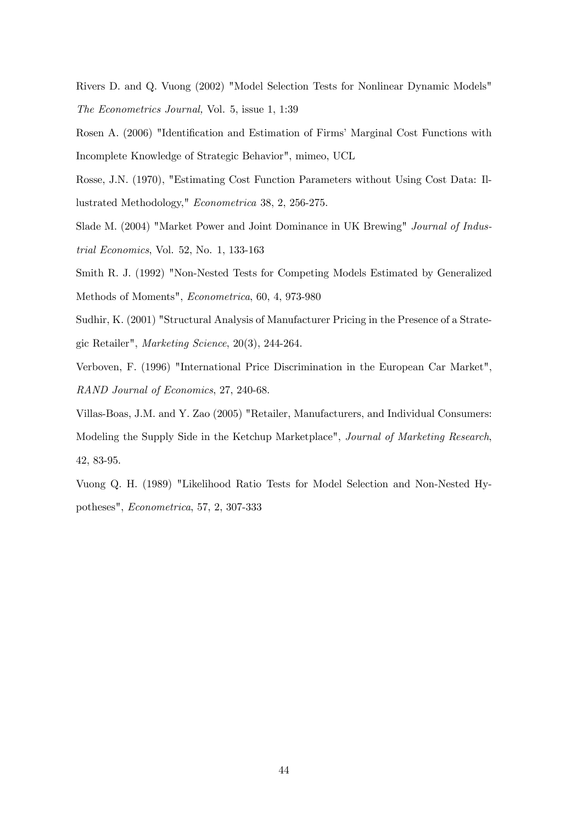Rivers D. and Q. Vuong (2002) "Model Selection Tests for Nonlinear Dynamic Models" The Econometrics Journal, Vol. 5, issue 1, 1:39

Rosen A. (2006) "Identification and Estimation of Firms' Marginal Cost Functions with Incomplete Knowledge of Strategic Behavior", mimeo, UCL

Rosse, J.N. (1970), "Estimating Cost Function Parameters without Using Cost Data: Illustrated Methodology," Econometrica 38, 2, 256-275.

Slade M. (2004) "Market Power and Joint Dominance in UK Brewing" Journal of Industrial Economics, Vol. 52, No. 1, 133-163

Smith R. J. (1992) "Non-Nested Tests for Competing Models Estimated by Generalized Methods of Moments", Econometrica, 60, 4, 973-980

Sudhir, K. (2001) "Structural Analysis of Manufacturer Pricing in the Presence of a Strategic Retailer", Marketing Science, 20(3), 244-264.

Verboven, F. (1996) "International Price Discrimination in the European Car Market", RAND Journal of Economics, 27, 240-68.

Villas-Boas, J.M. and Y. Zao (2005) "Retailer, Manufacturers, and Individual Consumers: Modeling the Supply Side in the Ketchup Marketplace", Journal of Marketing Research, 42, 83-95.

Vuong Q. H. (1989) "Likelihood Ratio Tests for Model Selection and Non-Nested Hypotheses", Econometrica, 57, 2, 307-333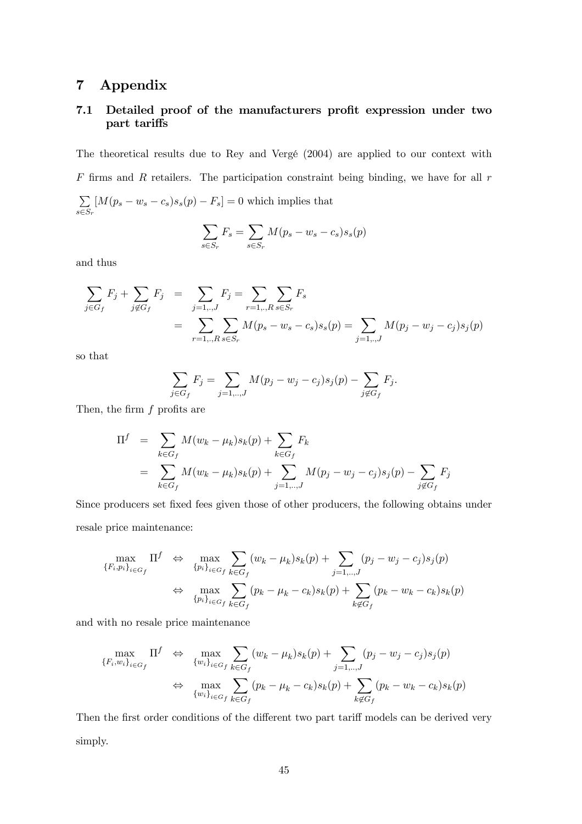# 7 Appendix

### 7.1 Detailed proof of the manufacturers profit expression under two part tariffs

The theoretical results due to Rey and Vergé (2004) are applied to our context with  $F$  firms and  $R$  retailers. The participation constraint being binding, we have for all  $r$  $\sum$  $s \in S_r$  $[M(p_s - w_s - c_s)s_s(p) - F_s] = 0$  which implies that

$$
\sum_{s \in S_r} F_s = \sum_{s \in S_r} M(p_s - w_s - c_s) s_s(p)
$$

and thus

$$
\sum_{j \in G_f} F_j + \sum_{j \notin G_f} F_j = \sum_{j=1,..,J} F_j = \sum_{r=1,..,R} \sum_{s \in S_r} F_s
$$
\n
$$
= \sum_{r=1,..,R} \sum_{s \in S_r} M(p_s - w_s - c_s) s_s(p) = \sum_{j=1,..,J} M(p_j - w_j - c_j) s_j(p)
$$

so that

$$
\sum_{j \in G_f} F_j = \sum_{j=1,..,J} M(p_j - w_j - c_j) s_j(p) - \sum_{j \notin G_f} F_j.
$$

Then, the firm  $f$  profits are

$$
\Pi^{f} = \sum_{k \in G_{f}} M(w_{k} - \mu_{k})s_{k}(p) + \sum_{k \in G_{f}} F_{k}
$$
  
= 
$$
\sum_{k \in G_{f}} M(w_{k} - \mu_{k})s_{k}(p) + \sum_{j=1,\dots,J} M(p_{j} - w_{j} - c_{j})s_{j}(p) - \sum_{j \notin G_{f}} F_{j}
$$

Since producers set fixed fees given those of other producers, the following obtains under resale price maintenance:

$$
\max_{\{F_i, p_i\}_{i \in G_f}} \Pi^f \Leftrightarrow \max_{\{p_i\}_{i \in G_f}} \sum_{k \in G_f} (w_k - \mu_k) s_k(p) + \sum_{j=1,\dots,J} (p_j - w_j - c_j) s_j(p)
$$
  

$$
\Leftrightarrow \max_{\{p_i\}_{i \in G_f}} \sum_{k \in G_f} (p_k - \mu_k - c_k) s_k(p) + \sum_{k \notin G_f} (p_k - w_k - c_k) s_k(p)
$$

and with no resale price maintenance

$$
\max_{\{F_i, w_i\}_{i \in G_f}} \Pi^f \Leftrightarrow \max_{\{w_i\}_{i \in G_f} \sum_{k \in G_f} (w_k - \mu_k) s_k(p) + \sum_{j=1, ..., J} (p_j - w_j - c_j) s_j(p) \Leftrightarrow \max_{\{w_i\}_{i \in G_f} \sum_{k \in G_f} (p_k - \mu_k - c_k) s_k(p) + \sum_{k \notin G_f} (p_k - w_k - c_k) s_k(p)
$$

Then the first order conditions of the different two part tariff models can be derived very simply.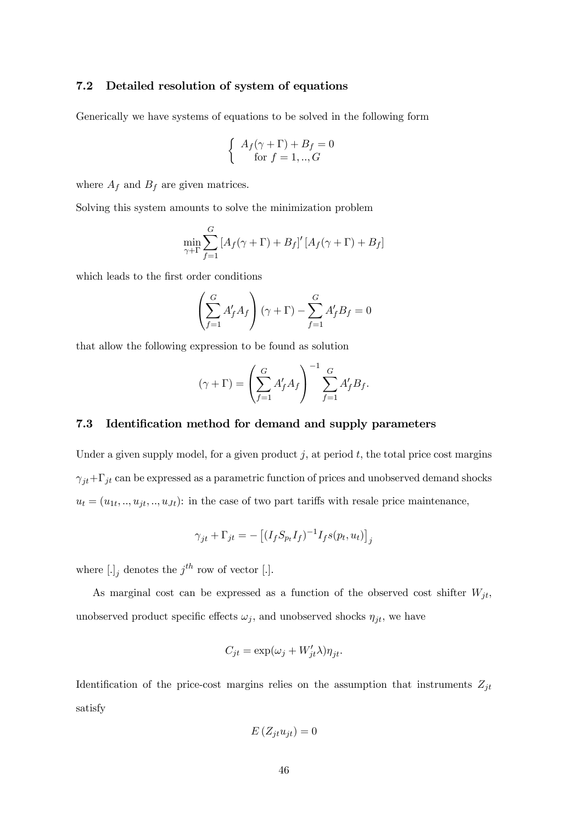### 7.2 Detailed resolution of system of equations

Generically we have systems of equations to be solved in the following form

$$
\begin{cases}\nA_f(\gamma + \Gamma) + B_f = 0 \\
\text{for } f = 1,..,G\n\end{cases}
$$

where  $A_f$  and  $B_f$  are given matrices.

Solving this system amounts to solve the minimization problem

$$
\min_{\gamma + \Gamma} \sum_{f=1}^{G} \left[ A_f(\gamma + \Gamma) + B_f \right]' \left[ A_f(\gamma + \Gamma) + B_f \right]
$$

which leads to the first order conditions

$$
\left(\sum_{f=1}^G A'_f A_f\right)\left(\gamma + \Gamma\right) - \sum_{f=1}^G A'_f B_f = 0
$$

that allow the following expression to be found as solution

$$
(\gamma + \Gamma) = \left(\sum_{f=1}^{G} A'_f A_f\right)^{-1} \sum_{f=1}^{G} A'_f B_f.
$$

### 7.3 Identification method for demand and supply parameters

Under a given supply model, for a given product  $j$ , at period  $t$ , the total price cost margins  $\gamma_{jt}+\Gamma_{jt}$  can be expressed as a parametric function of prices and unobserved demand shocks  $u_t = (u_{1t}, ..., u_{jt}, ..., u_{Jt})$ : in the case of two part tariffs with resale price maintenance,

$$
\gamma_{jt} + \Gamma_{jt} = -\left[ (I_f S_{p_t} I_f)^{-1} I_f s(p_t, u_t) \right]_j
$$

where  $[.]_j$  denotes the  $j<sup>th</sup>$  row of vector [.].

As marginal cost can be expressed as a function of the observed cost shifter  $W_{it}$ , unobserved product specific effects  $\omega_j$ , and unobserved shocks  $\eta_{jt}$ , we have

$$
C_{jt} = \exp(\omega_j + W'_{jt}\lambda)\eta_{jt}.
$$

Identification of the price-cost margins relies on the assumption that instruments  $Z_{jt}$ satisfy

$$
E\left(Z_{jt}u_{jt}\right)=0
$$